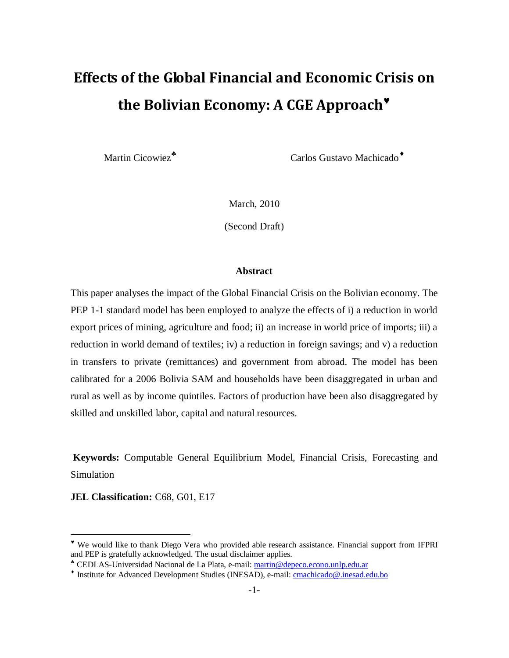# **Effects of the Global Financial and Economic Crisis on the Bolivian Economy: A CGE Approach**

Martin Cicowiez<sup>\*</sup>

Carlos Gustavo Machicado

March, 2010

(Second Draft)

#### **Abstract**

This paper analyses the impact of the Global Financial Crisis on the Bolivian economy. The PEP 1-1 standard model has been employed to analyze the effects of i) a reduction in world export prices of mining, agriculture and food; ii) an increase in world price of imports; iii) a reduction in world demand of textiles; iv) a reduction in foreign savings; and v) a reduction in transfers to private (remittances) and government from abroad. The model has been calibrated for a 2006 Bolivia SAM and households have been disaggregated in urban and rural as well as by income quintiles. Factors of production have been also disaggregated by skilled and unskilled labor, capital and natural resources.

**Keywords:** Computable General Equilibrium Model, Financial Crisis, Forecasting and Simulation

**JEL Classification:** C68, G01, E17

 $\overline{a}$ 

We would like to thank Diego Vera who provided able research assistance. Financial support from IFPRI and PEP is gratefully acknowledged. The usual disclaimer applies.

CEDLAS-Universidad Nacional de La Plata, e-mail[: martin@depeco.econo.unlp.edu.ar](mailto:martin@depeco.econo.unlp.edu.ar)

<sup>&</sup>lt;sup>+</sup> Institute for Advanced Development Studies (INESAD), e-mail: **cmachicado@**.inesad.edu.bo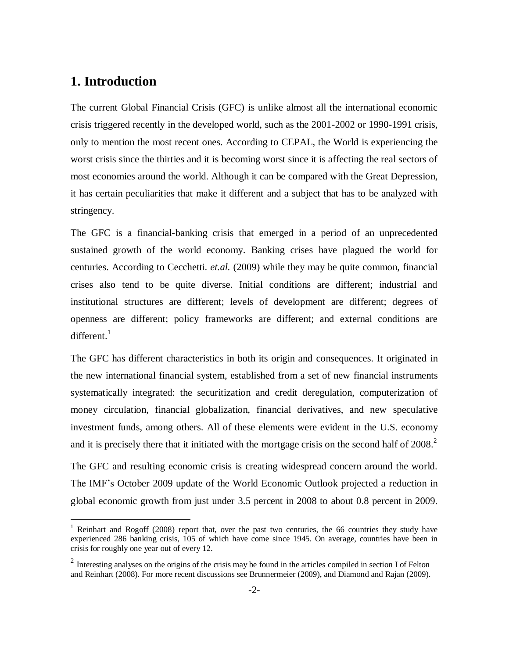# **1. Introduction**

 $\overline{a}$ 

The current Global Financial Crisis (GFC) is unlike almost all the international economic crisis triggered recently in the developed world, such as the 2001-2002 or 1990-1991 crisis, only to mention the most recent ones. According to CEPAL, the World is experiencing the worst crisis since the thirties and it is becoming worst since it is affecting the real sectors of most economies around the world. Although it can be compared with the Great Depression, it has certain peculiarities that make it different and a subject that has to be analyzed with stringency.

The GFC is a financial-banking crisis that emerged in a period of an unprecedented sustained growth of the world economy. Banking crises have plagued the world for centuries. According to Cecchetti. *et.al.* (2009) while they may be quite common, financial crises also tend to be quite diverse. Initial conditions are different; industrial and institutional structures are different; levels of development are different; degrees of openness are different; policy frameworks are different; and external conditions are  $\mathrm{differential}^{-1}$ 

The GFC has different characteristics in both its origin and consequences. It originated in the new international financial system, established from a set of new financial instruments systematically integrated: the securitization and credit deregulation, computerization of money circulation, financial globalization, financial derivatives, and new speculative investment funds, among others. All of these elements were evident in the U.S. economy and it is precisely there that it initiated with the mortgage crisis on the second half of  $2008$ .<sup>2</sup>

The GFC and resulting economic crisis is creating widespread concern around the world. The IMF's October 2009 update of the World Economic Outlook projected a reduction in global economic growth from just under 3.5 percent in 2008 to about 0.8 percent in 2009.

<sup>&</sup>lt;sup>1</sup> Reinhart and Rogoff (2008) report that, over the past two centuries, the 66 countries they study have experienced 286 banking crisis, 105 of which have come since 1945. On average, countries have been in crisis for roughly one year out of every 12.

 $2$  Interesting analyses on the origins of the crisis may be found in the articles compiled in section I of Felton and Reinhart (2008). For more recent discussions see Brunnermeier (2009), and Diamond and Rajan (2009).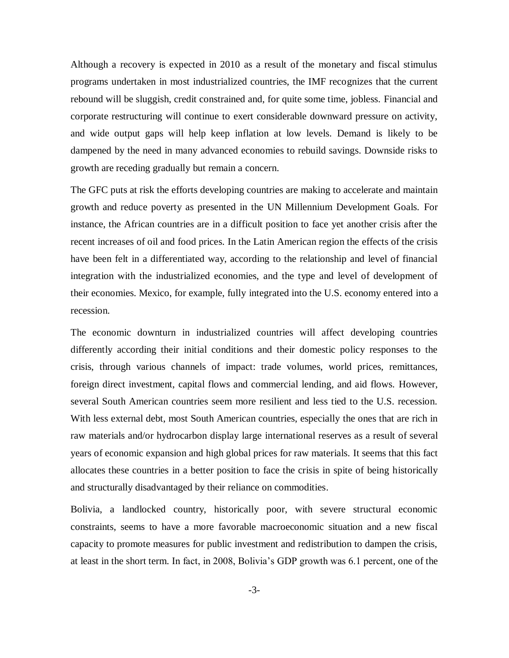Although a recovery is expected in 2010 as a result of the monetary and fiscal stimulus programs undertaken in most industrialized countries, the IMF recognizes that the current rebound will be sluggish, credit constrained and, for quite some time, jobless. Financial and corporate restructuring will continue to exert considerable downward pressure on activity, and wide output gaps will help keep inflation at low levels. Demand is likely to be dampened by the need in many advanced economies to rebuild savings. Downside risks to growth are receding gradually but remain a concern.

The GFC puts at risk the efforts developing countries are making to accelerate and maintain growth and reduce poverty as presented in the UN Millennium Development Goals. For instance, the African countries are in a difficult position to face yet another crisis after the recent increases of oil and food prices. In the Latin American region the effects of the crisis have been felt in a differentiated way, according to the relationship and level of financial integration with the industrialized economies, and the type and level of development of their economies. Mexico, for example, fully integrated into the U.S. economy entered into a recession.

The economic downturn in industrialized countries will affect developing countries differently according their initial conditions and their domestic policy responses to the crisis, through various channels of impact: trade volumes, world prices, remittances, foreign direct investment, capital flows and commercial lending, and aid flows. However, several South American countries seem more resilient and less tied to the U.S. recession. With less external debt, most South American countries, especially the ones that are rich in raw materials and/or hydrocarbon display large international reserves as a result of several years of economic expansion and high global prices for raw materials. It seems that this fact allocates these countries in a better position to face the crisis in spite of being historically and structurally disadvantaged by their reliance on commodities.

Bolivia, a landlocked country, historically poor, with severe structural economic constraints, seems to have a more favorable macroeconomic situation and a new fiscal capacity to promote measures for public investment and redistribution to dampen the crisis, at least in the short term. In fact, in 2008, Bolivia's GDP growth was 6.1 percent, one of the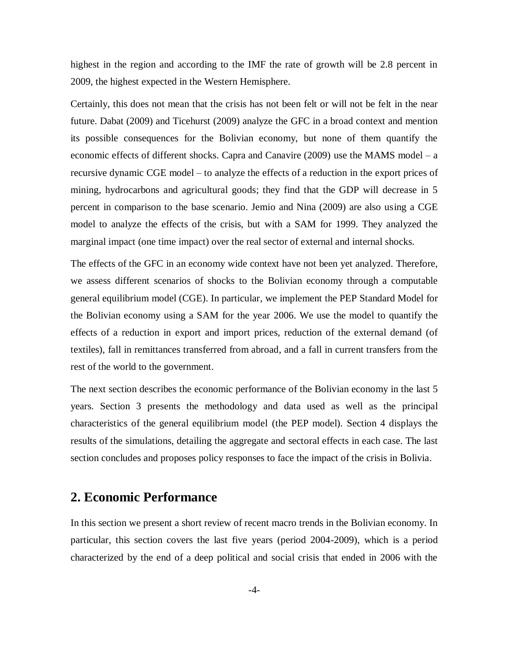highest in the region and according to the IMF the rate of growth will be 2.8 percent in 2009, the highest expected in the Western Hemisphere.

Certainly, this does not mean that the crisis has not been felt or will not be felt in the near future. Dabat (2009) and Ticehurst (2009) analyze the GFC in a broad context and mention its possible consequences for the Bolivian economy, but none of them quantify the economic effects of different shocks. Capra and Canavire (2009) use the MAMS model – a recursive dynamic CGE model – to analyze the effects of a reduction in the export prices of mining, hydrocarbons and agricultural goods; they find that the GDP will decrease in 5 percent in comparison to the base scenario. Jemio and Nina (2009) are also using a CGE model to analyze the effects of the crisis, but with a SAM for 1999. They analyzed the marginal impact (one time impact) over the real sector of external and internal shocks.

The effects of the GFC in an economy wide context have not been yet analyzed. Therefore, we assess different scenarios of shocks to the Bolivian economy through a computable general equilibrium model (CGE). In particular, we implement the PEP Standard Model for the Bolivian economy using a SAM for the year 2006. We use the model to quantify the effects of a reduction in export and import prices, reduction of the external demand (of textiles), fall in remittances transferred from abroad, and a fall in current transfers from the rest of the world to the government.

The next section describes the economic performance of the Bolivian economy in the last 5 years. Section 3 presents the methodology and data used as well as the principal characteristics of the general equilibrium model (the PEP model). Section 4 displays the results of the simulations, detailing the aggregate and sectoral effects in each case. The last section concludes and proposes policy responses to face the impact of the crisis in Bolivia.

# **2. Economic Performance**

In this section we present a short review of recent macro trends in the Bolivian economy. In particular, this section covers the last five years (period 2004-2009), which is a period characterized by the end of a deep political and social crisis that ended in 2006 with the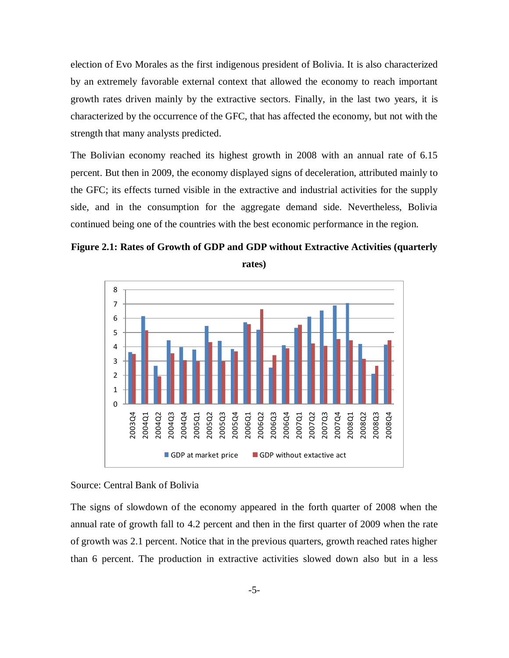election of Evo Morales as the first indigenous president of Bolivia. It is also characterized by an extremely favorable external context that allowed the economy to reach important growth rates driven mainly by the extractive sectors. Finally, in the last two years, it is characterized by the occurrence of the GFC, that has affected the economy, but not with the strength that many analysts predicted.

The Bolivian economy reached its highest growth in 2008 with an annual rate of 6.15 percent. But then in 2009, the economy displayed signs of deceleration, attributed mainly to the GFC; its effects turned visible in the extractive and industrial activities for the supply side, and in the consumption for the aggregate demand side. Nevertheless, Bolivia continued being one of the countries with the best economic performance in the region.

**Figure 2.1: Rates of Growth of GDP and GDP without Extractive Activities (quarterly rates)**



#### Source: Central Bank of Bolivia

The signs of slowdown of the economy appeared in the forth quarter of 2008 when the annual rate of growth fall to 4.2 percent and then in the first quarter of 2009 when the rate of growth was 2.1 percent. Notice that in the previous quarters, growth reached rates higher than 6 percent. The production in extractive activities slowed down also but in a less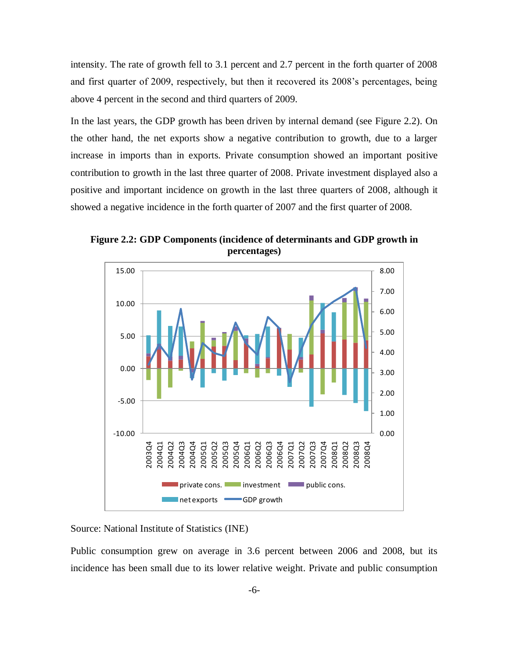intensity. The rate of growth fell to 3.1 percent and 2.7 percent in the forth quarter of 2008 and first quarter of 2009, respectively, but then it recovered its 2008's percentages, being above 4 percent in the second and third quarters of 2009.

In the last years, the GDP growth has been driven by internal demand (see Figure 2.2). On the other hand, the net exports show a negative contribution to growth, due to a larger increase in imports than in exports. Private consumption showed an important positive contribution to growth in the last three quarter of 2008. Private investment displayed also a positive and important incidence on growth in the last three quarters of 2008, although it showed a negative incidence in the forth quarter of 2007 and the first quarter of 2008.



**Figure 2.2: GDP Components (incidence of determinants and GDP growth in percentages)**

Source: National Institute of Statistics (INE)

Public consumption grew on average in 3.6 percent between 2006 and 2008, but its incidence has been small due to its lower relative weight. Private and public consumption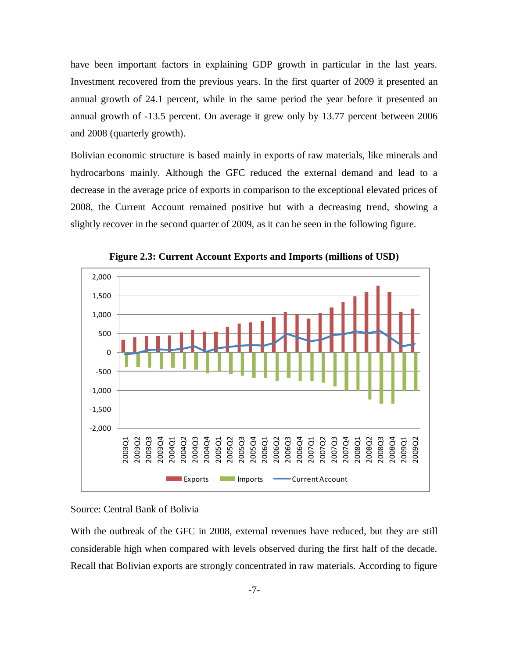have been important factors in explaining GDP growth in particular in the last years. Investment recovered from the previous years. In the first quarter of 2009 it presented an annual growth of 24.1 percent, while in the same period the year before it presented an annual growth of -13.5 percent. On average it grew only by 13.77 percent between 2006 and 2008 (quarterly growth).

Bolivian economic structure is based mainly in exports of raw materials, like minerals and hydrocarbons mainly. Although the GFC reduced the external demand and lead to a decrease in the average price of exports in comparison to the exceptional elevated prices of 2008, the Current Account remained positive but with a decreasing trend, showing a slightly recover in the second quarter of 2009, as it can be seen in the following figure.



**Figure 2.3: Current Account Exports and Imports (millions of USD)**

#### Source: Central Bank of Bolivia

With the outbreak of the GFC in 2008, external revenues have reduced, but they are still considerable high when compared with levels observed during the first half of the decade. Recall that Bolivian exports are strongly concentrated in raw materials. According to figure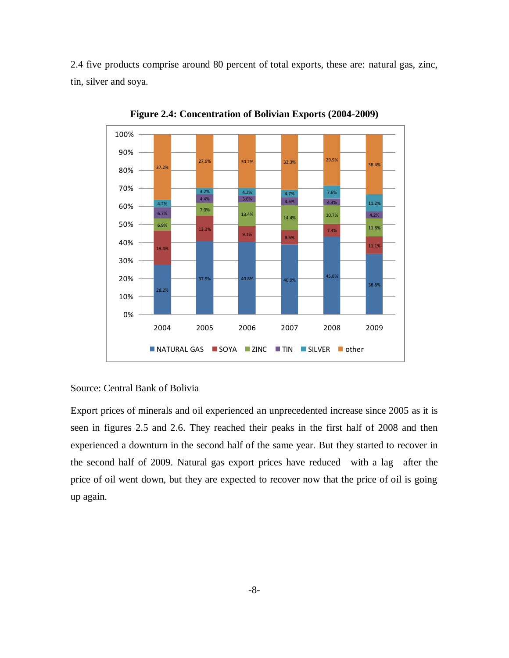2.4 five products comprise around 80 percent of total exports, these are: natural gas, zinc, tin, silver and soya.



**Figure 2.4: Concentration of Bolivian Exports (2004-2009)**

Source: Central Bank of Bolivia

Export prices of minerals and oil experienced an unprecedented increase since 2005 as it is seen in figures 2.5 and 2.6. They reached their peaks in the first half of 2008 and then experienced a downturn in the second half of the same year. But they started to recover in the second half of 2009. Natural gas export prices have reduced—with a lag—after the price of oil went down, but they are expected to recover now that the price of oil is going up again.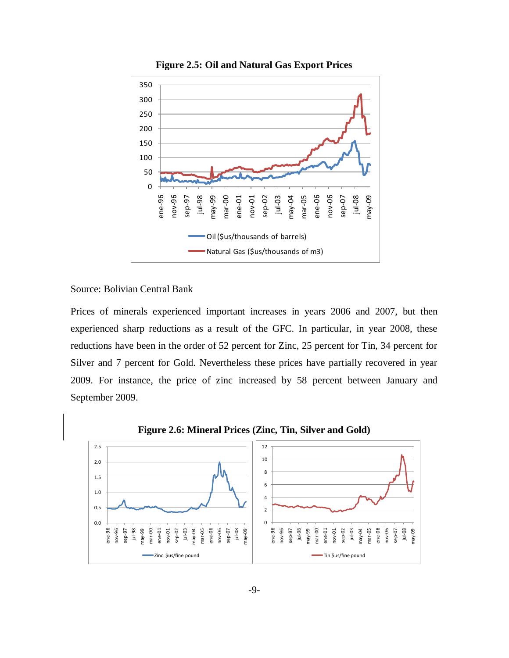

**Figure 2.5: Oil and Natural Gas Export Prices**

Source: Bolivian Central Bank

Prices of minerals experienced important increases in years 2006 and 2007, but then experienced sharp reductions as a result of the GFC. In particular, in year 2008, these reductions have been in the order of 52 percent for Zinc, 25 percent for Tin, 34 percent for Silver and 7 percent for Gold. Nevertheless these prices have partially recovered in year 2009. For instance, the price of zinc increased by 58 percent between January and September 2009.

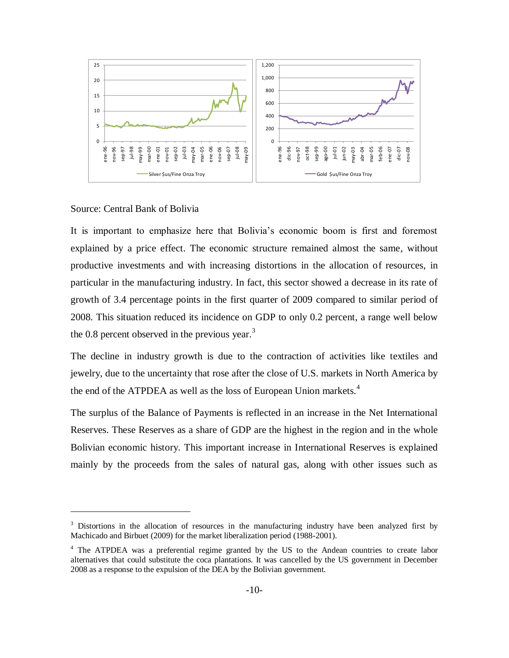

#### Source: Central Bank of Bolivia

 $\overline{a}$ 

It is important to emphasize here that Bolivia's economic boom is first and foremost explained by a price effect. The economic structure remained almost the same, without productive investments and with increasing distortions in the allocation of resources, in particular in the manufacturing industry. In fact, this sector showed a decrease in its rate of growth of 3.4 percentage points in the first quarter of 2009 compared to similar period of 2008. This situation reduced its incidence on GDP to only 0.2 percent, a range well below the 0.8 percent observed in the previous year. $3$ 

The decline in industry growth is due to the contraction of activities like textiles and jewelry, due to the uncertainty that rose after the close of U.S. markets in North America by the end of the ATPDEA as well as the loss of European Union markets.<sup>4</sup>

The surplus of the Balance of Payments is reflected in an increase in the Net International Reserves. These Reserves as a share of GDP are the highest in the region and in the whole Bolivian economic history. This important increase in International Reserves is explained mainly by the proceeds from the sales of natural gas, along with other issues such as

<sup>&</sup>lt;sup>3</sup> Distortions in the allocation of resources in the manufacturing industry have been analyzed first by Machicado and Birbuet (2009) for the market liberalization period (1988-2001).

<sup>4</sup> The ATPDEA was a preferential regime granted by the US to the Andean countries to create labor alternatives that could substitute the coca plantations. It was cancelled by the US government in December 2008 as a response to the expulsion of the DEA by the Bolivian government.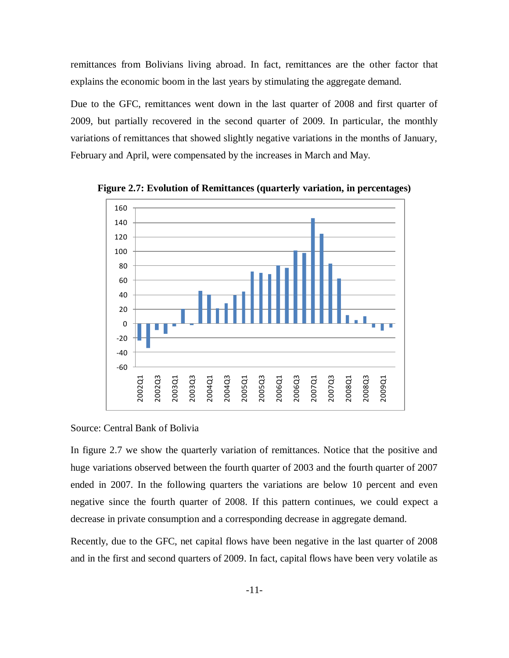remittances from Bolivians living abroad. In fact, remittances are the other factor that explains the economic boom in the last years by stimulating the aggregate demand.

Due to the GFC, remittances went down in the last quarter of 2008 and first quarter of 2009, but partially recovered in the second quarter of 2009. In particular, the monthly variations of remittances that showed slightly negative variations in the months of January, February and April, were compensated by the increases in March and May.



**Figure 2.7: Evolution of Remittances (quarterly variation, in percentages)**

Source: Central Bank of Bolivia

In figure 2.7 we show the quarterly variation of remittances. Notice that the positive and huge variations observed between the fourth quarter of 2003 and the fourth quarter of 2007 ended in 2007. In the following quarters the variations are below 10 percent and even negative since the fourth quarter of 2008. If this pattern continues, we could expect a decrease in private consumption and a corresponding decrease in aggregate demand.

Recently, due to the GFC, net capital flows have been negative in the last quarter of 2008 and in the first and second quarters of 2009. In fact, capital flows have been very volatile as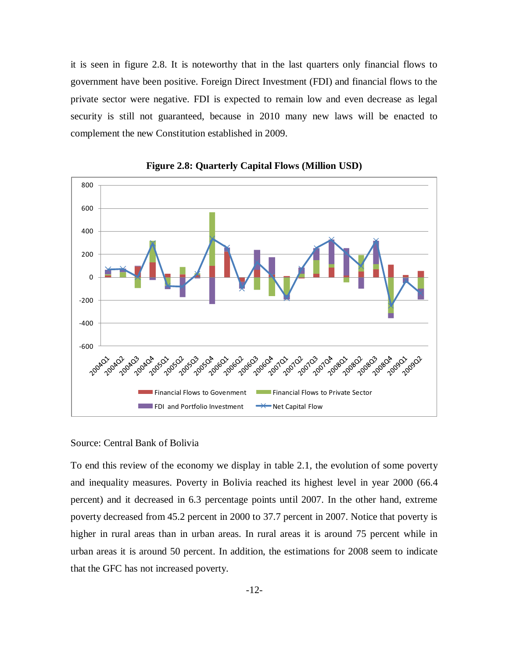it is seen in figure 2.8. It is noteworthy that in the last quarters only financial flows to government have been positive. Foreign Direct Investment (FDI) and financial flows to the private sector were negative. FDI is expected to remain low and even decrease as legal security is still not guaranteed, because in 2010 many new laws will be enacted to complement the new Constitution established in 2009.



**Figure 2.8: Quarterly Capital Flows (Million USD)**

#### Source: Central Bank of Bolivia

To end this review of the economy we display in table 2.1, the evolution of some poverty and inequality measures. Poverty in Bolivia reached its highest level in year 2000 (66.4 percent) and it decreased in 6.3 percentage points until 2007. In the other hand, extreme poverty decreased from 45.2 percent in 2000 to 37.7 percent in 2007. Notice that poverty is higher in rural areas than in urban areas. In rural areas it is around 75 percent while in urban areas it is around 50 percent. In addition, the estimations for 2008 seem to indicate that the GFC has not increased poverty.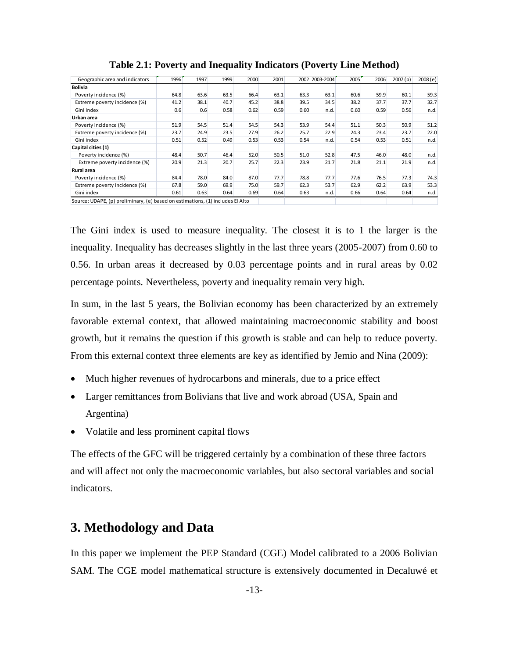| Geographic area and indicators                                                 | 1996 <sup>'</sup> | 1997 | 1999 | 2000 | 2001 |      | 2002 2003-2004 | 2005 | 2006 | 2007(p) | 2008(e) |
|--------------------------------------------------------------------------------|-------------------|------|------|------|------|------|----------------|------|------|---------|---------|
| <b>Bolivia</b>                                                                 |                   |      |      |      |      |      |                |      |      |         |         |
| Poverty incidence (%)                                                          | 64.8              | 63.6 | 63.5 | 66.4 | 63.1 | 63.3 | 63.1           | 60.6 | 59.9 | 60.1    | 59.3    |
| Extreme poverty incidence (%)                                                  | 41.2              | 38.1 | 40.7 | 45.2 | 38.8 | 39.5 | 34.5           | 38.2 | 37.7 | 37.7    | 32.7    |
| Gini index                                                                     | 0.6               | 0.6  | 0.58 | 0.62 | 0.59 | 0.60 | n.d.           | 0.60 | 0.59 | 0.56    | n.d.    |
| Urban area                                                                     |                   |      |      |      |      |      |                |      |      |         |         |
| Poverty incidence (%)                                                          | 51.9              | 54.5 | 51.4 | 54.5 | 54.3 | 53.9 | 54.4           | 51.1 | 50.3 | 50.9    | 51.2    |
| Extreme poverty incidence (%)                                                  | 23.7              | 24.9 | 23.5 | 27.9 | 26.2 | 25.7 | 22.9           | 24.3 | 23.4 | 23.7    | 22.0    |
| Gini index                                                                     | 0.51              | 0.52 | 0.49 | 0.53 | 0.53 | 0.54 | n.d.           | 0.54 | 0.53 | 0.51    | n.d.    |
| Capital cities (1)                                                             |                   |      |      |      |      |      |                |      |      |         |         |
| Poverty incidence (%)                                                          | 48.4              | 50.7 | 46.4 | 52.0 | 50.5 | 51.0 | 52.8           | 47.5 | 46.0 | 48.0    | n.d.    |
| Extreme poverty incidence (%)                                                  | 20.9              | 21.3 | 20.7 | 25.7 | 22.3 | 23.9 | 21.7           | 21.8 | 21.1 | 21.9    | n.d.    |
| Rural area                                                                     |                   |      |      |      |      |      |                |      |      |         |         |
| Poverty incidence (%)                                                          | 84.4              | 78.0 | 84.0 | 87.0 | 77.7 | 78.8 | 77.7           | 77.6 | 76.5 | 77.3    | 74.3    |
| Extreme poverty incidence (%)                                                  | 67.8              | 59.0 | 69.9 | 75.0 | 59.7 | 62.3 | 53.7           | 62.9 | 62.2 | 63.9    | 53.3    |
| Gini index                                                                     | 0.61              | 0.63 | 0.64 | 0.69 | 0.64 | 0.63 | n.d.           | 0.66 | 0.64 | 0.64    | n.d.    |
| Source: UDAPE, (p) preliminary, (e) based on estimations, (1) includes El Alto |                   |      |      |      |      |      |                |      |      |         |         |

**Table 2.1: Poverty and Inequality Indicators (Poverty Line Method)**

The Gini index is used to measure inequality. The closest it is to 1 the larger is the inequality. Inequality has decreases slightly in the last three years (2005-2007) from 0.60 to 0.56. In urban areas it decreased by 0.03 percentage points and in rural areas by 0.02 percentage points. Nevertheless, poverty and inequality remain very high.

In sum, in the last 5 years, the Bolivian economy has been characterized by an extremely favorable external context, that allowed maintaining macroeconomic stability and boost growth, but it remains the question if this growth is stable and can help to reduce poverty. From this external context three elements are key as identified by Jemio and Nina (2009):

- Much higher revenues of hydrocarbons and minerals, due to a price effect
- Larger remittances from Bolivians that live and work abroad (USA, Spain and Argentina)
- Volatile and less prominent capital flows

The effects of the GFC will be triggered certainly by a combination of these three factors and will affect not only the macroeconomic variables, but also sectoral variables and social indicators.

# **3. Methodology and Data**

In this paper we implement the PEP Standard (CGE) Model calibrated to a 2006 Bolivian SAM. The CGE model mathematical structure is extensively documented in Decaluwé et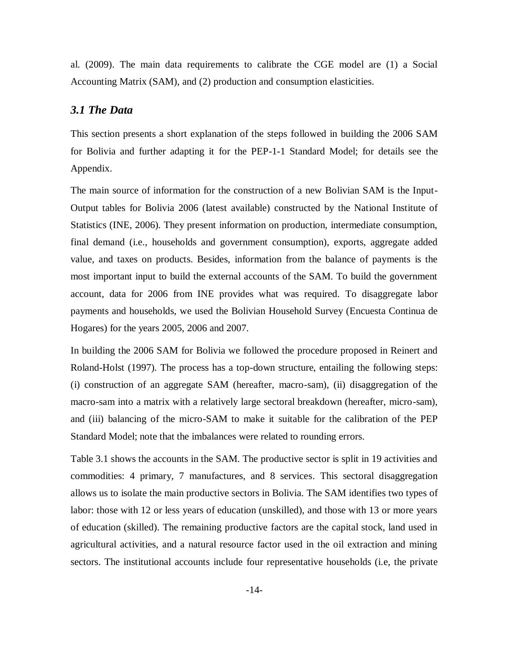al. (2009). The main data requirements to calibrate the CGE model are (1) a Social Accounting Matrix (SAM), and (2) production and consumption elasticities.

#### *3.1 The Data*

This section presents a short explanation of the steps followed in building the 2006 SAM for Bolivia and further adapting it for the PEP-1-1 Standard Model; for details see the Appendix.

The main source of information for the construction of a new Bolivian SAM is the Input-Output tables for Bolivia 2006 (latest available) constructed by the National Institute of Statistics (INE, 2006). They present information on production, intermediate consumption, final demand (i.e., households and government consumption), exports, aggregate added value, and taxes on products. Besides, information from the balance of payments is the most important input to build the external accounts of the SAM. To build the government account, data for 2006 from INE provides what was required. To disaggregate labor payments and households, we used the Bolivian Household Survey (Encuesta Continua de Hogares) for the years 2005, 2006 and 2007.

In building the 2006 SAM for Bolivia we followed the procedure proposed in Reinert and Roland-Holst (1997). The process has a top-down structure, entailing the following steps: (i) construction of an aggregate SAM (hereafter, macro-sam), (ii) disaggregation of the macro-sam into a matrix with a relatively large sectoral breakdown (hereafter, micro-sam), and (iii) balancing of the micro-SAM to make it suitable for the calibration of the PEP Standard Model; note that the imbalances were related to rounding errors.

Table 3.1 shows the accounts in the SAM. The productive sector is split in 19 activities and commodities: 4 primary, 7 manufactures, and 8 services. This sectoral disaggregation allows us to isolate the main productive sectors in Bolivia. The SAM identifies two types of labor: those with 12 or less years of education (unskilled), and those with 13 or more years of education (skilled). The remaining productive factors are the capital stock, land used in agricultural activities, and a natural resource factor used in the oil extraction and mining sectors. The institutional accounts include four representative households (i.e, the private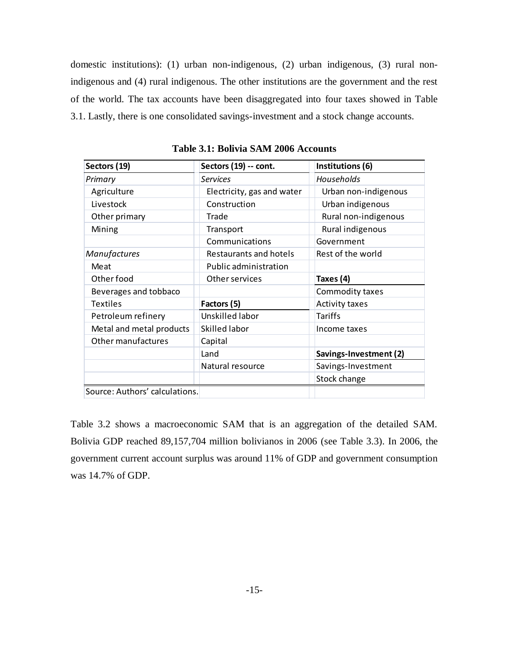domestic institutions): (1) urban non-indigenous, (2) urban indigenous, (3) rural nonindigenous and (4) rural indigenous. The other institutions are the government and the rest of the world. The tax accounts have been disaggregated into four taxes showed in Table 3.1. Lastly, there is one consolidated savings-investment and a stock change accounts.

| Sectors (19)                   | Sectors (19) -- cont.      | Institutions (6)       |
|--------------------------------|----------------------------|------------------------|
| Primary                        | <b>Services</b>            | Households             |
| Agriculture                    | Electricity, gas and water | Urban non-indigenous   |
| Livestock                      | Construction               | Urban indigenous       |
| Other primary                  | Trade                      | Rural non-indigenous   |
| Mining                         | Transport                  | Rural indigenous       |
|                                | Communications             | Government             |
| Manufactures                   | Restaurants and hotels     | Rest of the world      |
| Meat                           | Public administration      |                        |
| Other food                     | Other services             | Taxes (4)              |
| Beverages and tobbaco          |                            | Commodity taxes        |
| <b>Textiles</b>                | Factors (5)                | <b>Activity taxes</b>  |
| Petroleum refinery             | Unskilled labor            | Tariffs                |
| Metal and metal products       | Skilled labor              | Income taxes           |
| Other manufactures             | Capital                    |                        |
|                                | Land                       | Savings-Investment (2) |
|                                | Natural resource           | Savings-Investment     |
|                                |                            | Stock change           |
| Source: Authors' calculations. |                            |                        |

**Table 3.1: Bolivia SAM 2006 Accounts**

Table 3.2 shows a macroeconomic SAM that is an aggregation of the detailed SAM. Bolivia GDP reached 89,157,704 million bolivianos in 2006 (see Table 3.3). In 2006, the government current account surplus was around 11% of GDP and government consumption was 14.7% of GDP.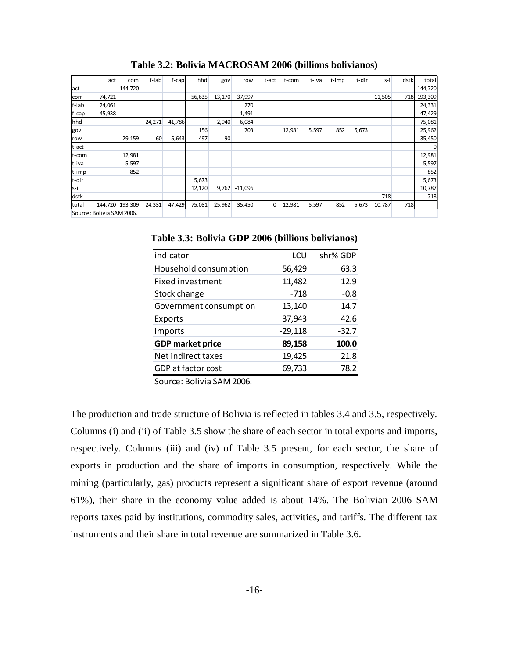|         | act                       | com             | f-lab  | f-cap  | hhd    | gov    | row       | t-act          | t-com  | t-iva | t-imp | t-dir | s-i    | dstk   | total    |
|---------|---------------------------|-----------------|--------|--------|--------|--------|-----------|----------------|--------|-------|-------|-------|--------|--------|----------|
| act     |                           | 144,720         |        |        |        |        |           |                |        |       |       |       |        |        | 144,720  |
| com     | 74,721                    |                 |        |        | 56,635 | 13,170 | 37,997    |                |        |       |       |       | 11,505 | $-718$ | 193,309  |
| f-lab   | 24,061                    |                 |        |        |        |        | 270       |                |        |       |       |       |        |        | 24,331   |
| f-cap   | 45,938                    |                 |        |        |        |        | 1,491     |                |        |       |       |       |        |        | 47,429   |
| hhd     |                           |                 | 24,271 | 41,786 |        | 2,940  | 6,084     |                |        |       |       |       |        |        | 75,081   |
| gov     |                           |                 |        |        | 156    |        | 703       |                | 12,981 | 5,597 | 852   | 5,673 |        |        | 25,962   |
| row     |                           | 29,159          | 60     | 5,643  | 497    | 90     |           |                |        |       |       |       |        |        | 35,450   |
| t-act   |                           |                 |        |        |        |        |           |                |        |       |       |       |        |        | $\Omega$ |
| t-com   |                           | 12,981          |        |        |        |        |           |                |        |       |       |       |        |        | 12,981   |
| t-iva   |                           | 5,597           |        |        |        |        |           |                |        |       |       |       |        |        | 5,597    |
| t-imp   |                           | 852             |        |        |        |        |           |                |        |       |       |       |        |        | 852      |
| t-dir   |                           |                 |        |        | 5,673  |        |           |                |        |       |       |       |        |        | 5,673    |
| $S - I$ |                           |                 |        |        | 12,120 | 9,762  | $-11,096$ |                |        |       |       |       |        |        | 10,787   |
| dstk    |                           |                 |        |        |        |        |           |                |        |       |       |       | $-718$ |        | $-718$   |
| total   |                           | 144,720 193,309 | 24,331 | 47,429 | 75,081 | 25,962 | 35,450    | $\overline{0}$ | 12,981 | 5,597 | 852   | 5,673 | 10,787 | $-718$ |          |
|         | Source: Bolivia SAM 2006. |                 |        |        |        |        |           |                |        |       |       |       |        |        |          |

**Table 3.2: Bolivia MACROSAM 2006 (billions bolivianos)**

**Table 3.3: Bolivia GDP 2006 (billions bolivianos)**

| indicator                 | LCU       | shr% GDP |
|---------------------------|-----------|----------|
| Household consumption     | 56,429    | 63.3     |
| Fixed investment          | 11,482    | 12.9     |
| Stock change              | $-718$    | $-0.8$   |
| Government consumption    | 13,140    | 14.7     |
| Exports                   | 37,943    | 42.6     |
| Imports                   | $-29,118$ | $-32.7$  |
| <b>GDP market price</b>   | 89,158    | 100.0    |
| Net indirect taxes        | 19,425    | 21.8     |
| GDP at factor cost        | 69,733    | 78.2     |
| Source: Bolivia SAM 2006. |           |          |

The production and trade structure of Bolivia is reflected in tables 3.4 and 3.5, respectively. Columns (i) and (ii) of Table 3.5 show the share of each sector in total exports and imports, respectively. Columns (iii) and (iv) of Table 3.5 present, for each sector, the share of exports in production and the share of imports in consumption, respectively. While the mining (particularly, gas) products represent a significant share of export revenue (around 61%), their share in the economy value added is about 14%. The Bolivian 2006 SAM reports taxes paid by institutions, commodity sales, activities, and tariffs. The different tax instruments and their share in total revenue are summarized in Table 3.6.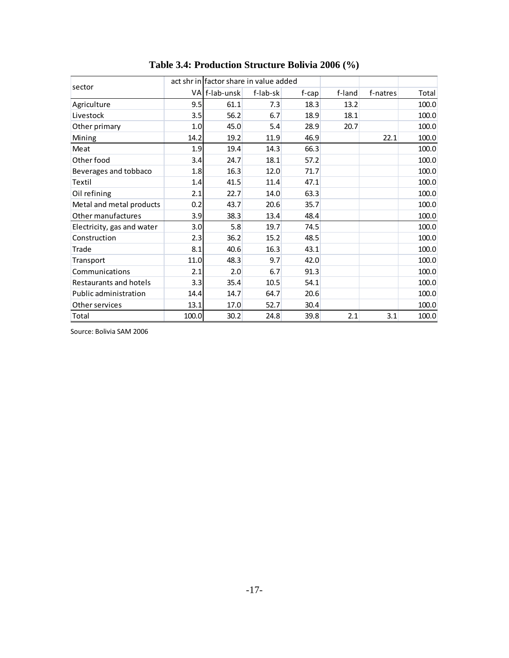|                            |       | Table 3.4: Production Structure Bolivia 2006 (%) |          |          |        |          |       |
|----------------------------|-------|--------------------------------------------------|----------|----------|--------|----------|-------|
|                            |       | act shr in factor share in value added           |          |          |        |          |       |
| sector                     |       | VA f-lab-unsk                                    | f-lab-sk | $f$ -cap | f-land | f-natres | Total |
| Agriculture                | 9.5   | 61.1                                             | 7.3      | 18.3     | 13.2   |          | 100.0 |
| Livestock                  | 3.5   | 56.2                                             | 6.7      | 18.9     | 18.1   |          | 100.0 |
| Other primary              | 1.0   | 45.0                                             | 5.4      | 28.9     | 20.7   |          | 100.0 |
| Mining                     | 14.2  | 19.2                                             | 11.9     | 46.9     |        | 22.1     | 100.0 |
| Meat                       | 1.9   | 19.4                                             | 14.3     | 66.3     |        |          | 100.0 |
| Other food                 | 3.4   | 24.7                                             | 18.1     | 57.2     |        |          | 100.0 |
| Beverages and tobbaco      | 1.8   | 16.3                                             | 12.0     | 71.7     |        |          | 100.0 |
| Textil                     | 1.4   | 41.5                                             | 11.4     | 47.1     |        |          | 100.0 |
| Oil refining               | 2.1   | 22.7                                             | 14.0     | 63.3     |        |          | 100.0 |
| Metal and metal products   | 0.2   | 43.7                                             | 20.6     | 35.7     |        |          | 100.0 |
| Other manufactures         | 3.9   | 38.3                                             | 13.4     | 48.4     |        |          | 100.0 |
| Electricity, gas and water | 3.0   | 5.8                                              | 19.7     | 74.5     |        |          | 100.0 |
| Construction               | 2.3   | 36.2                                             | 15.2     | 48.5     |        |          | 100.0 |
| Trade                      | 8.1   | 40.6                                             | 16.3     | 43.1     |        |          | 100.0 |
| Transport                  | 11.0  | 48.3                                             | 9.7      | 42.0     |        |          | 100.0 |
| Communications             | 2.1   | 2.0                                              | 6.7      | 91.3     |        |          | 100.0 |
| Restaurants and hotels     | 3.3   | 35.4                                             | 10.5     | 54.1     |        |          | 100.0 |
| Public administration      | 14.4  | 14.7                                             | 64.7     | 20.6     |        |          | 100.0 |
| Other services             | 13.1  | 17.0                                             | 52.7     | 30.4     |        |          | 100.0 |
| Total                      | 100.0 | 30.2                                             | 24.8     | 39.8     | 2.1    | 3.1      | 100.0 |

**Table 3.4: Production Structure Bolivia 2006 (%)**

Source: Bolivia SAM 2006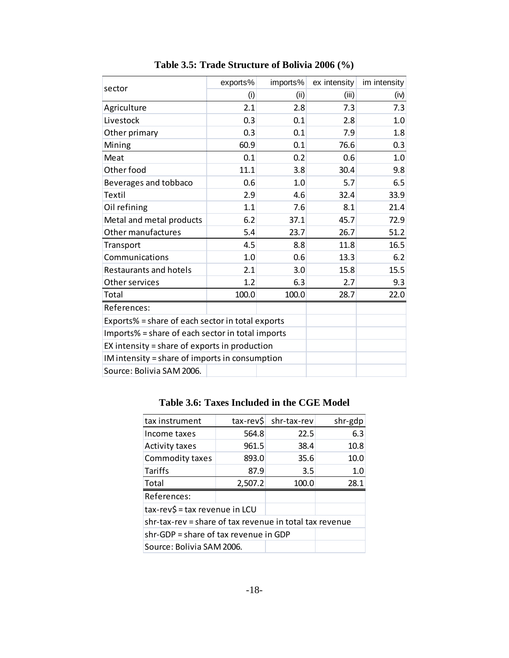| sector                                           | exports% | imports% | ex intensity | im intensity |  |  |  |  |  |
|--------------------------------------------------|----------|----------|--------------|--------------|--|--|--|--|--|
|                                                  | (i)      | (ii)     | (iii)        | (iv)         |  |  |  |  |  |
| Agriculture                                      | 2.1      | 2.8      | 7.3          | 7.3          |  |  |  |  |  |
| Livestock                                        | 0.3      | 0.1      | 2.8          | 1.0          |  |  |  |  |  |
| Other primary                                    | 0.3      | 0.1      | 7.9          | 1.8          |  |  |  |  |  |
| Mining                                           | 60.9     | 0.1      | 76.6         | 0.3          |  |  |  |  |  |
| Meat                                             | 0.1      | 0.2      | 0.6          | 1.0          |  |  |  |  |  |
| Other food                                       | 11.1     | 3.8      | 30.4         | 9.8          |  |  |  |  |  |
| Beverages and tobbaco                            | 0.6      | 1.0      | 5.7          | 6.5          |  |  |  |  |  |
| Textil                                           | 2.9      | 4.6      | 32.4         | 33.9         |  |  |  |  |  |
| Oil refining                                     | 1.1      | 7.6      | 8.1          | 21.4         |  |  |  |  |  |
| Metal and metal products                         | 6.2      | 37.1     | 45.7         | 72.9         |  |  |  |  |  |
| Other manufactures                               | 5.4      | 23.7     | 26.7         | 51.2         |  |  |  |  |  |
| Transport                                        | 4.5      | 8.8      | 11.8         | 16.5         |  |  |  |  |  |
| Communications                                   | 1.0      | 0.6      | 13.3         | 6.2          |  |  |  |  |  |
| Restaurants and hotels                           | 2.1      | 3.0      | 15.8         | 15.5         |  |  |  |  |  |
| Other services                                   | 1.2      | 6.3      | 2.7          | 9.3          |  |  |  |  |  |
| Total                                            | 100.0    | 100.0    | 28.7         | 22.0         |  |  |  |  |  |
| References:                                      |          |          |              |              |  |  |  |  |  |
| Exports% = share of each sector in total exports |          |          |              |              |  |  |  |  |  |
| Imports% = share of each sector in total imports |          |          |              |              |  |  |  |  |  |
| EX intensity = share of exports in production    |          |          |              |              |  |  |  |  |  |
| IM intensity = share of imports in consumption   |          |          |              |              |  |  |  |  |  |
| Source: Bolivia SAM 2006.                        |          |          |              |              |  |  |  |  |  |

**Table 3.5: Trade Structure of Bolivia 2006 (%)**

# **Table 3.6: Taxes Included in the CGE Model**

| tax instrument                                          | tax-rev\$ | shr-tax-rev | shr-gdp |  |  |  |  |  |
|---------------------------------------------------------|-----------|-------------|---------|--|--|--|--|--|
| Income taxes                                            | 564.8     | 22.5        | 6.3     |  |  |  |  |  |
| <b>Activity taxes</b>                                   | 961.5     | 38.4        | 10.8    |  |  |  |  |  |
| Commodity taxes                                         | 893.0     | 35.6        | 10.0    |  |  |  |  |  |
| <b>Tariffs</b>                                          | 87.9      | 3.5         | 1.0     |  |  |  |  |  |
| Total                                                   | 2,507.2   | 100.0       | 28.1    |  |  |  |  |  |
| References:                                             |           |             |         |  |  |  |  |  |
| tax-rev\$ = tax revenue in LCU                          |           |             |         |  |  |  |  |  |
| shr-tax-rev = share of tax revenue in total tax revenue |           |             |         |  |  |  |  |  |
| shr-GDP = share of tax revenue in GDP                   |           |             |         |  |  |  |  |  |
| Source: Bolivia SAM 2006.                               |           |             |         |  |  |  |  |  |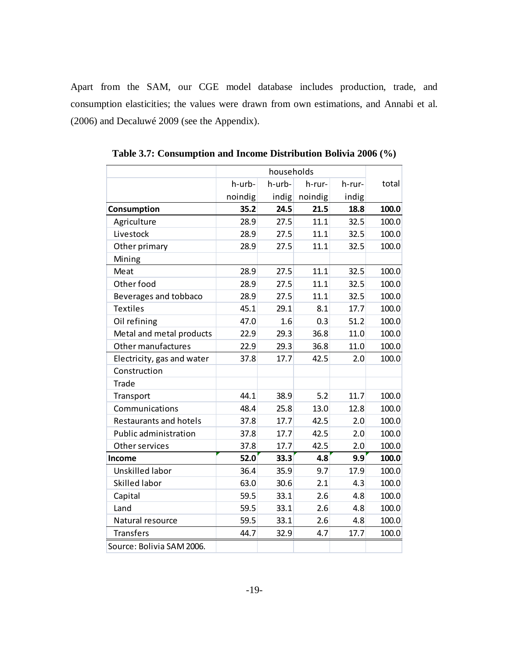Apart from the SAM, our CGE model database includes production, trade, and consumption elasticities; the values were drawn from own estimations, and Annabi et al. (2006) and Decaluwé 2009 (see the Appendix).

|                               |         | households |         |        |       |
|-------------------------------|---------|------------|---------|--------|-------|
|                               | h-urb-  | h-urb-     | h-rur-  | h-rur- | total |
|                               | noindig | indig      | noindig | indig  |       |
| Consumption                   | 35.2    | 24.5       | 21.5    | 18.8   | 100.0 |
| Agriculture                   | 28.9    | 27.5       | 11.1    | 32.5   | 100.0 |
| Livestock                     | 28.9    | 27.5       | 11.1    | 32.5   | 100.0 |
| Other primary                 | 28.9    | 27.5       | 11.1    | 32.5   | 100.0 |
| Mining                        |         |            |         |        |       |
| Meat                          | 28.9    | 27.5       | 11.1    | 32.5   | 100.0 |
| Other food                    | 28.9    | 27.5       | 11.1    | 32.5   | 100.0 |
| Beverages and tobbaco         | 28.9    | 27.5       | 11.1    | 32.5   | 100.0 |
| <b>Textiles</b>               | 45.1    | 29.1       | 8.1     | 17.7   | 100.0 |
| Oil refining                  | 47.0    | 1.6        | 0.3     | 51.2   | 100.0 |
| Metal and metal products      | 22.9    | 29.3       | 36.8    | 11.0   | 100.0 |
| Other manufactures            | 22.9    | 29.3       | 36.8    | 11.0   | 100.0 |
| Electricity, gas and water    | 37.8    | 17.7       | 42.5    | 2.0    | 100.0 |
| Construction                  |         |            |         |        |       |
| Trade                         |         |            |         |        |       |
| Transport                     | 44.1    | 38.9       | 5.2     | 11.7   | 100.0 |
| Communications                | 48.4    | 25.8       | 13.0    | 12.8   | 100.0 |
| <b>Restaurants and hotels</b> | 37.8    | 17.7       | 42.5    | 2.0    | 100.0 |
| Public administration         | 37.8    | 17.7       | 42.5    | 2.0    | 100.0 |
| Other services                | 37.8    | 17.7       | 42.5    | 2.0    | 100.0 |
| Income                        | 52.0    | 33.3       | 4.8     | 9.9    | 100.0 |
| Unskilled labor               | 36.4    | 35.9       | 9.7     | 17.9   | 100.0 |
| Skilled labor                 | 63.0    | 30.6       | 2.1     | 4.3    | 100.0 |
| Capital                       | 59.5    | 33.1       | 2.6     | 4.8    | 100.0 |
| Land                          | 59.5    | 33.1       | 2.6     | 4.8    | 100.0 |
| Natural resource              | 59.5    | 33.1       | 2.6     | 4.8    | 100.0 |
| <b>Transfers</b>              | 44.7    | 32.9       | 4.7     | 17.7   | 100.0 |
| Source: Bolivia SAM 2006.     |         |            |         |        |       |

**Table 3.7: Consumption and Income Distribution Bolivia 2006 (%)**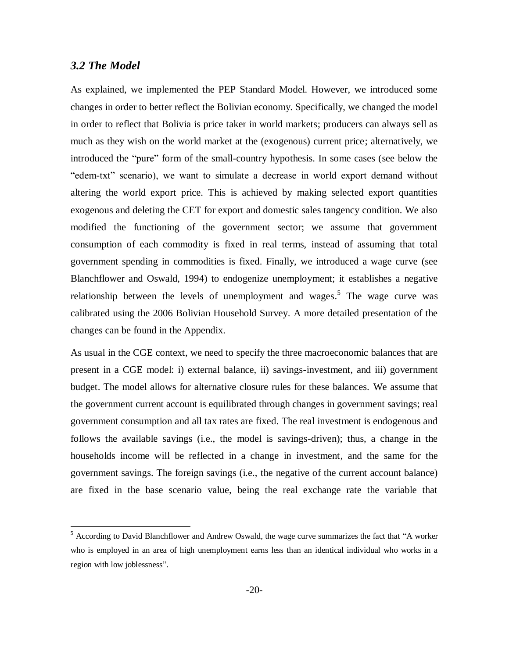### *3.2 The Model*

 $\overline{a}$ 

As explained, we implemented the PEP Standard Model. However, we introduced some changes in order to better reflect the Bolivian economy. Specifically, we changed the model in order to reflect that Bolivia is price taker in world markets; producers can always sell as much as they wish on the world market at the (exogenous) current price; alternatively, we introduced the "pure" form of the small-country hypothesis. In some cases (see below the "edem-txt" scenario), we want to simulate a decrease in world export demand without altering the world export price. This is achieved by making selected export quantities exogenous and deleting the CET for export and domestic sales tangency condition. We also modified the functioning of the government sector; we assume that government consumption of each commodity is fixed in real terms, instead of assuming that total government spending in commodities is fixed. Finally, we introduced a wage curve (see Blanchflower and Oswald, 1994) to endogenize unemployment; it establishes a negative relationship between the levels of unemployment and wages.<sup>5</sup> The wage curve was calibrated using the 2006 Bolivian Household Survey. A more detailed presentation of the changes can be found in the Appendix.

As usual in the CGE context, we need to specify the three macroeconomic balances that are present in a CGE model: i) external balance, ii) savings-investment, and iii) government budget. The model allows for alternative closure rules for these balances. We assume that the government current account is equilibrated through changes in government savings; real government consumption and all tax rates are fixed. The real investment is endogenous and follows the available savings (i.e., the model is savings-driven); thus, a change in the households income will be reflected in a change in investment, and the same for the government savings. The foreign savings (i.e., the negative of the current account balance) are fixed in the base scenario value, being the real exchange rate the variable that

 $<sup>5</sup>$  According to David Blanchflower and Andrew Oswald, the wage curve summarizes the fact that "A worker</sup> who is employed in an area of high unemployment earns less than an identical individual who works in a region with low joblessness".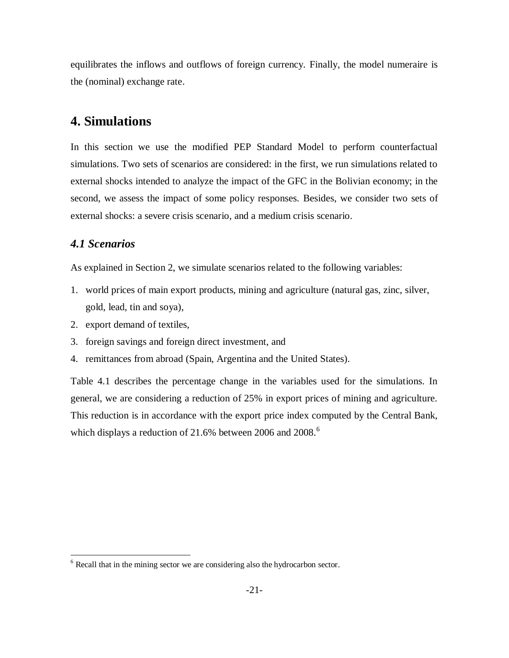equilibrates the inflows and outflows of foreign currency. Finally, the model numeraire is the (nominal) exchange rate.

# **4. Simulations**

In this section we use the modified PEP Standard Model to perform counterfactual simulations. Two sets of scenarios are considered: in the first, we run simulations related to external shocks intended to analyze the impact of the GFC in the Bolivian economy; in the second, we assess the impact of some policy responses. Besides, we consider two sets of external shocks: a severe crisis scenario, and a medium crisis scenario.

# *4.1 Scenarios*

 $\overline{a}$ 

As explained in Section 2, we simulate scenarios related to the following variables:

- 1. world prices of main export products, mining and agriculture (natural gas, zinc, silver, gold, lead, tin and soya),
- 2. export demand of textiles,
- 3. foreign savings and foreign direct investment, and
- 4. remittances from abroad (Spain, Argentina and the United States).

Table 4.1 describes the percentage change in the variables used for the simulations. In general, we are considering a reduction of 25% in export prices of mining and agriculture. This reduction is in accordance with the export price index computed by the Central Bank, which displays a reduction of 21.6% between 2006 and  $2008$ .<sup>6</sup>

 $6$  Recall that in the mining sector we are considering also the hydrocarbon sector.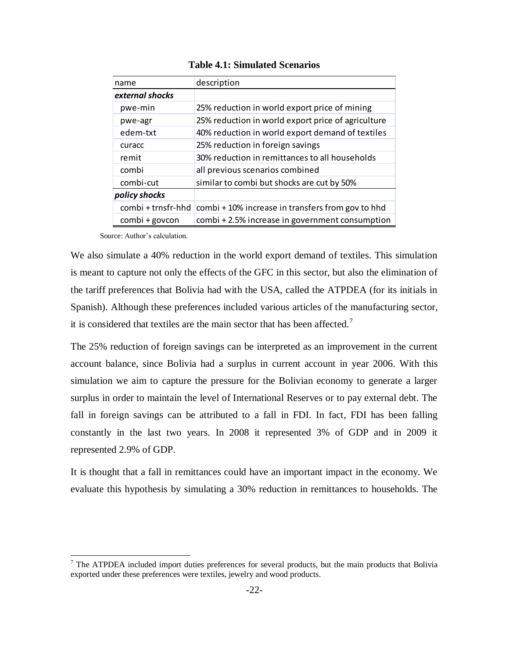| name               | description                                        |
|--------------------|----------------------------------------------------|
| external shocks    |                                                    |
| pwe-min            | 25% reduction in world export price of mining      |
| pwe-agr            | 25% reduction in world export price of agriculture |
| edem-txt           | 40% reduction in world export demand of textiles   |
| curacc             | 25% reduction in foreign savings                   |
| remit              | 30% reduction in remittances to all households     |
| combi              | all previous scenarios combined                    |
| combi-cut          | similar to combi but shocks are cut by 50%         |
| policy shocks      |                                                    |
| combi + trnsfr-hhd | combi + 10% increase in transfers from gov to hhd  |
| combi + govcon     | combi + 2.5% increase in government consumption    |

#### **Table 4.1: Simulated Scenarios**

Source: Author's calculation.

 $\overline{a}$ 

We also simulate a 40% reduction in the world export demand of textiles. This simulation is meant to capture not only the effects of the GFC in this sector, but also the elimination of the tariff preferences that Bolivia had with the USA, called the ATPDEA (for its initials in Spanish). Although these preferences included various articles of the manufacturing sector, it is considered that textiles are the main sector that has been affected.<sup>7</sup>

The 25% reduction of foreign savings can be interpreted as an improvement in the current account balance, since Bolivia had a surplus in current account in year 2006. With this simulation we aim to capture the pressure for the Bolivian economy to generate a larger surplus in order to maintain the level of International Reserves or to pay external debt. The fall in foreign savings can be attributed to a fall in FDI. In fact, FDI has been falling constantly in the last two years. In 2008 it represented 3% of GDP and in 2009 it represented 2.9% of GDP.

It is thought that a fall in remittances could have an important impact in the economy. We evaluate this hypothesis by simulating a 30% reduction in remittances to households. The

 $<sup>7</sup>$  The ATPDEA included import duties preferences for several products, but the main products that Bolivia</sup> exported under these preferences were textiles, jewelry and wood products.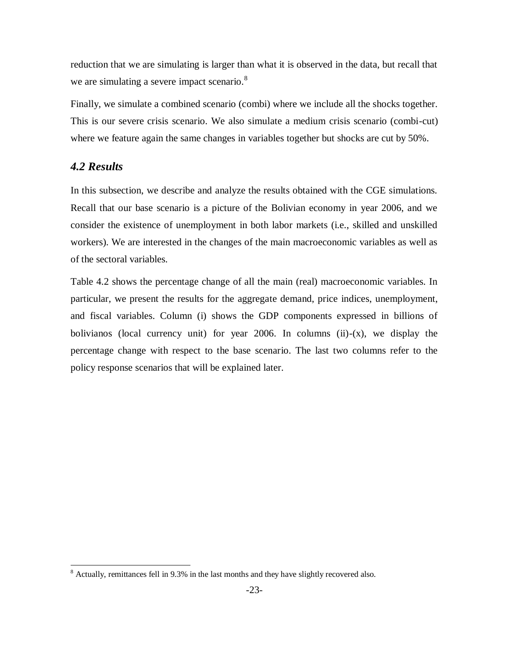reduction that we are simulating is larger than what it is observed in the data, but recall that we are simulating a severe impact scenario.<sup>8</sup>

Finally, we simulate a combined scenario (combi) where we include all the shocks together. This is our severe crisis scenario. We also simulate a medium crisis scenario (combi-cut) where we feature again the same changes in variables together but shocks are cut by 50%.

### *4.2 Results*

 $\overline{a}$ 

In this subsection, we describe and analyze the results obtained with the CGE simulations. Recall that our base scenario is a picture of the Bolivian economy in year 2006, and we consider the existence of unemployment in both labor markets (i.e., skilled and unskilled workers). We are interested in the changes of the main macroeconomic variables as well as of the sectoral variables.

Table 4.2 shows the percentage change of all the main (real) macroeconomic variables. In particular, we present the results for the aggregate demand, price indices, unemployment, and fiscal variables. Column (i) shows the GDP components expressed in billions of bolivianos (local currency unit) for year 2006. In columns (ii)- $(x)$ , we display the percentage change with respect to the base scenario. The last two columns refer to the policy response scenarios that will be explained later.

<sup>&</sup>lt;sup>8</sup> Actually, remittances fell in 9.3% in the last months and they have slightly recovered also.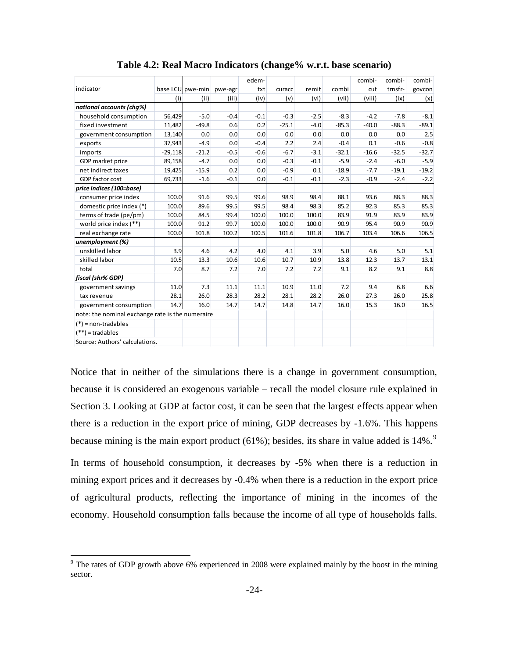|                                                  |           |                  |         | edem-  |         |        |         | combi-  | combi-  | combi-  |
|--------------------------------------------------|-----------|------------------|---------|--------|---------|--------|---------|---------|---------|---------|
| indicator                                        |           | base LCU pwe-min | pwe-agr | txt    | curacc  | remit  | combi   | cut     | trnsfr- | govcon  |
|                                                  | (i)       | (ii)             | (iii)   | (iv)   | (v)     | (vi)   | (vii)   | (viii)  | (ix)    | (x)     |
| national accounts (chg%)                         |           |                  |         |        |         |        |         |         |         |         |
| household consumption                            | 56,429    | $-5.0$           | $-0.4$  | $-0.1$ | $-0.3$  | $-2.5$ | $-8.3$  | $-4.2$  | $-7.8$  | $-8.1$  |
| fixed investment                                 | 11,482    | $-49.8$          | 0.6     | 0.2    | $-25.1$ | $-4.0$ | $-85.3$ | $-40.0$ | $-88.3$ | $-89.1$ |
| government consumption                           | 13,140    | 0.0              | 0.0     | 0.0    | 0.0     | 0.0    | 0.0     | 0.0     | 0.0     | 2.5     |
| exports                                          | 37,943    | $-4.9$           | 0.0     | $-0.4$ | 2.2     | 2.4    | $-0.4$  | 0.1     | $-0.6$  | $-0.8$  |
| imports                                          | $-29,118$ | $-21.2$          | $-0.5$  | $-0.6$ | $-6.7$  | $-3.1$ | $-32.1$ | $-16.6$ | $-32.5$ | $-32.7$ |
| GDP market price                                 | 89,158    | $-4.7$           | 0.0     | 0.0    | $-0.3$  | $-0.1$ | $-5.9$  | $-2.4$  | $-6.0$  | $-5.9$  |
| net indirect taxes                               | 19,425    | $-15.9$          | 0.2     | 0.0    | $-0.9$  | 0.1    | $-18.9$ | $-7.7$  | $-19.1$ | $-19.2$ |
| GDP factor cost                                  | 69,733    | $-1.6$           | $-0.1$  | 0.0    | $-0.1$  | $-0.1$ | $-2.3$  | $-0.9$  | $-2.4$  | $-2.2$  |
| price indices (100=base)                         |           |                  |         |        |         |        |         |         |         |         |
| consumer price index                             | 100.0     | 91.6             | 99.5    | 99.6   | 98.9    | 98.4   | 88.1    | 93.6    | 88.3    | 88.3    |
| domestic price index (*)                         | 100.0     | 89.6             | 99.5    | 99.5   | 98.4    | 98.3   | 85.2    | 92.3    | 85.3    | 85.3    |
| terms of trade (pe/pm)                           | 100.0     | 84.5             | 99.4    | 100.0  | 100.0   | 100.0  | 83.9    | 91.9    | 83.9    | 83.9    |
| world price index (**)                           | 100.0     | 91.2             | 99.7    | 100.0  | 100.0   | 100.0  | 90.9    | 95.4    | 90.9    | 90.9    |
| real exchange rate                               | 100.0     | 101.8            | 100.2   | 100.5  | 101.6   | 101.8  | 106.7   | 103.4   | 106.6   | 106.5   |
| unemployment (%)                                 |           |                  |         |        |         |        |         |         |         |         |
| unskilled labor                                  | 3.9       | 4.6              | 4.2     | 4.0    | 4.1     | 3.9    | 5.0     | 4.6     | 5.0     | 5.1     |
| skilled labor                                    | 10.5      | 13.3             | 10.6    | 10.6   | 10.7    | 10.9   | 13.8    | 12.3    | 13.7    | 13.1    |
| total                                            | 7.0       | 8.7              | 7.2     | 7.0    | 7.2     | 7.2    | 9.1     | 8.2     | 9.1     | 8.8     |
| fiscal (shr% GDP)                                |           |                  |         |        |         |        |         |         |         |         |
| government savings                               | 11.0      | 7.3              | 11.1    | 11.1   | 10.9    | 11.0   | 7.2     | 9.4     | 6.8     | 6.6     |
| tax revenue                                      | 28.1      | 26.0             | 28.3    | 28.2   | 28.1    | 28.2   | 26.0    | 27.3    | 26.0    | 25.8    |
| government consumption                           | 14.7      | 16.0             | 14.7    | 14.7   | 14.8    | 14.7   | 16.0    | 15.3    | 16.0    | 16.5    |
| note: the nominal exchange rate is the numeraire |           |                  |         |        |         |        |         |         |         |         |
| $(*)$ = non-tradables                            |           |                  |         |        |         |        |         |         |         |         |
| $=$ tradables<br>$(**)$                          |           |                  |         |        |         |        |         |         |         |         |
| Source: Authors' calculations.                   |           |                  |         |        |         |        |         |         |         |         |

**Table 4.2: Real Macro Indicators (change% w.r.t. base scenario)**

Notice that in neither of the simulations there is a change in government consumption, because it is considered an exogenous variable – recall the model closure rule explained in Section 3. Looking at GDP at factor cost, it can be seen that the largest effects appear when there is a reduction in the export price of mining, GDP decreases by -1.6%. This happens because mining is the main export product (61%); besides, its share in value added is  $14\%$ .<sup>9</sup>

In terms of household consumption, it decreases by -5% when there is a reduction in mining export prices and it decreases by -0.4% when there is a reduction in the export price of agricultural products, reflecting the importance of mining in the incomes of the economy. Household consumption falls because the income of all type of households falls.

 $\overline{a}$ 

 $9$  The rates of GDP growth above 6% experienced in 2008 were explained mainly by the boost in the mining sector.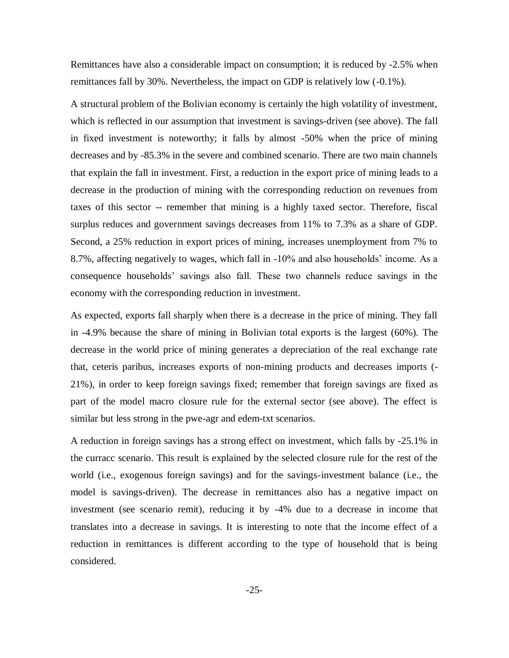Remittances have also a considerable impact on consumption; it is reduced by -2.5% when remittances fall by 30%. Nevertheless, the impact on GDP is relatively low (-0.1%).

A structural problem of the Bolivian economy is certainly the high volatility of investment, which is reflected in our assumption that investment is savings-driven (see above). The fall in fixed investment is noteworthy; it falls by almost -50% when the price of mining decreases and by -85.3% in the severe and combined scenario. There are two main channels that explain the fall in investment. First, a reduction in the export price of mining leads to a decrease in the production of mining with the corresponding reduction on revenues from taxes of this sector -- remember that mining is a highly taxed sector. Therefore, fiscal surplus reduces and government savings decreases from 11% to 7.3% as a share of GDP. Second, a 25% reduction in export prices of mining, increases unemployment from 7% to 8.7%, affecting negatively to wages, which fall in -10% and also households' income. As a consequence households' savings also fall. These two channels reduce savings in the economy with the corresponding reduction in investment.

As expected, exports fall sharply when there is a decrease in the price of mining. They fall in -4.9% because the share of mining in Bolivian total exports is the largest (60%). The decrease in the world price of mining generates a depreciation of the real exchange rate that, ceteris paribus, increases exports of non-mining products and decreases imports (- 21%), in order to keep foreign savings fixed; remember that foreign savings are fixed as part of the model macro closure rule for the external sector (see above). The effect is similar but less strong in the pwe-agr and edem-txt scenarios.

A reduction in foreign savings has a strong effect on investment, which falls by -25.1% in the curracc scenario. This result is explained by the selected closure rule for the rest of the world (i.e., exogenous foreign savings) and for the savings-investment balance (i.e., the model is savings-driven). The decrease in remittances also has a negative impact on investment (see scenario remit), reducing it by -4% due to a decrease in income that translates into a decrease in savings. It is interesting to note that the income effect of a reduction in remittances is different according to the type of household that is being considered.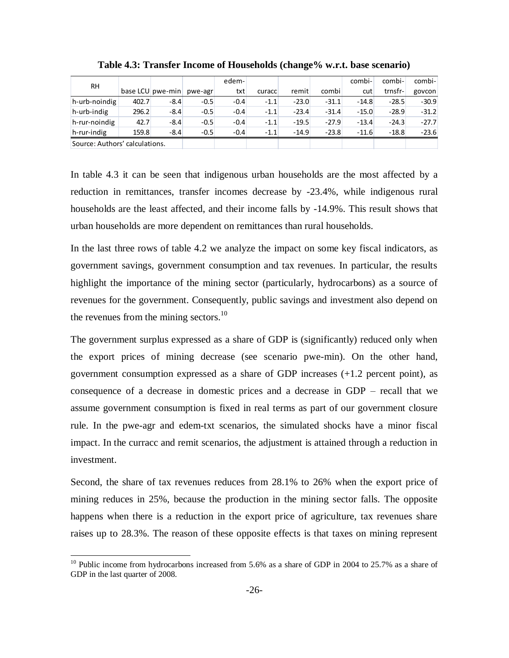|                                |       |                  |         | edem-  |        |         |         | combi-  | combi-  | combi-  |
|--------------------------------|-------|------------------|---------|--------|--------|---------|---------|---------|---------|---------|
| <b>RH</b>                      |       | base LCU pwe-min | pwe-agr | txt    | curacc | remit   | combi   | cut     | trnsfr- | govcon  |
| h-urb-noindig                  | 402.7 | $-8.4$           | $-0.5$  | $-0.4$ | $-1.1$ | $-23.0$ | $-31.1$ | $-14.8$ | $-28.5$ | $-30.9$ |
| h-urb-indig                    | 296.2 | $-8.4$           | $-0.5$  | $-0.4$ | $-1.1$ | $-23.4$ | $-31.4$ | $-15.0$ | $-28.9$ | $-31.2$ |
| h-rur-noindig                  | 42.7  | $-8.4$           | $-0.5$  | $-0.4$ | $-1.1$ | $-19.5$ | $-27.9$ | $-13.4$ | $-24.3$ | $-27.7$ |
| h-rur-indig                    | 159.8 | $-8.4$           | $-0.5$  | $-0.4$ | $-1.1$ | $-14.9$ | $-23.8$ | $-11.6$ | $-18.8$ | $-23.6$ |
| Source: Authors' calculations. |       |                  |         |        |        |         |         |         |         |         |

**Table 4.3: Transfer Income of Households (change% w.r.t. base scenario)**

In table 4.3 it can be seen that indigenous urban households are the most affected by a reduction in remittances, transfer incomes decrease by -23.4%, while indigenous rural households are the least affected, and their income falls by -14.9%. This result shows that urban households are more dependent on remittances than rural households.

In the last three rows of table 4.2 we analyze the impact on some key fiscal indicators, as government savings, government consumption and tax revenues. In particular, the results highlight the importance of the mining sector (particularly, hydrocarbons) as a source of revenues for the government. Consequently, public savings and investment also depend on the revenues from the mining sectors.<sup>10</sup>

The government surplus expressed as a share of GDP is (significantly) reduced only when the export prices of mining decrease (see scenario pwe-min). On the other hand, government consumption expressed as a share of GDP increases (+1.2 percent point), as consequence of a decrease in domestic prices and a decrease in GDP – recall that we assume government consumption is fixed in real terms as part of our government closure rule. In the pwe-agr and edem-txt scenarios, the simulated shocks have a minor fiscal impact. In the curracc and remit scenarios, the adjustment is attained through a reduction in investment.

Second, the share of tax revenues reduces from 28.1% to 26% when the export price of mining reduces in 25%, because the production in the mining sector falls. The opposite happens when there is a reduction in the export price of agriculture, tax revenues share raises up to 28.3%. The reason of these opposite effects is that taxes on mining represent

 $\overline{a}$ 

<sup>&</sup>lt;sup>10</sup> Public income from hydrocarbons increased from 5.6% as a share of GDP in 2004 to 25.7% as a share of GDP in the last quarter of 2008.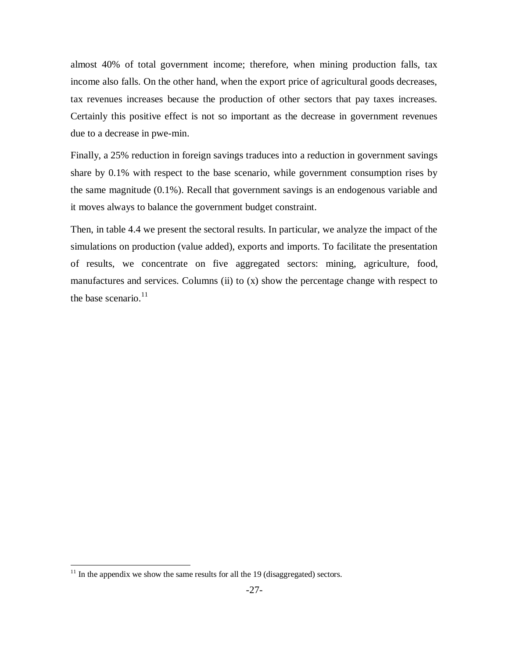almost 40% of total government income; therefore, when mining production falls, tax income also falls. On the other hand, when the export price of agricultural goods decreases, tax revenues increases because the production of other sectors that pay taxes increases. Certainly this positive effect is not so important as the decrease in government revenues due to a decrease in pwe-min.

Finally, a 25% reduction in foreign savings traduces into a reduction in government savings share by 0.1% with respect to the base scenario, while government consumption rises by the same magnitude (0.1%). Recall that government savings is an endogenous variable and it moves always to balance the government budget constraint.

Then, in table 4.4 we present the sectoral results. In particular, we analyze the impact of the simulations on production (value added), exports and imports. To facilitate the presentation of results, we concentrate on five aggregated sectors: mining, agriculture, food, manufactures and services. Columns (ii) to (x) show the percentage change with respect to the base scenario. $11$ 

 $\overline{a}$ 

 $11$  In the appendix we show the same results for all the 19 (disaggregated) sectors.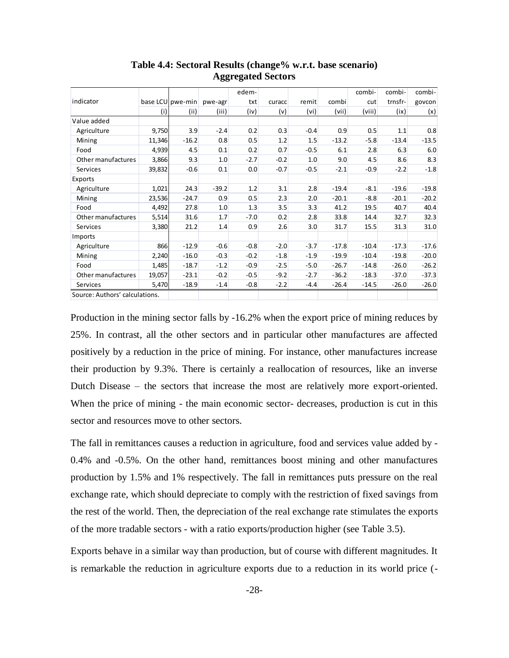|                                |        |                  |         | edem-  |        |        |         | combi-  | combi-  | combi-  |
|--------------------------------|--------|------------------|---------|--------|--------|--------|---------|---------|---------|---------|
| indicator                      |        | base LCU pwe-min | pwe-agr | txt    | curacc | remit  | combi   | cut     | trnsfr- | govcon  |
|                                | (i)    | (ii)             | (iii)   | (iv)   | (v)    | (vi)   | (vii)   | (viii)  | (ix)    | (x)     |
| Value added                    |        |                  |         |        |        |        |         |         |         |         |
| Agriculture                    | 9,750  | 3.9              | $-2.4$  | 0.2    | 0.3    | $-0.4$ | 0.9     | 0.5     | 1.1     | 0.8     |
| Mining                         | 11,346 | $-16.2$          | 0.8     | 0.5    | 1.2    | 1.5    | $-13.2$ | $-5.8$  | $-13.4$ | $-13.5$ |
| Food                           | 4,939  | 4.5              | 0.1     | 0.2    | 0.7    | $-0.5$ | 6.1     | 2.8     | 6.3     | 6.0     |
| Other manufactures             | 3,866  | 9.3              | 1.0     | $-2.7$ | $-0.2$ | 1.0    | 9.0     | 4.5     | 8.6     | 8.3     |
| Services                       | 39,832 | $-0.6$           | 0.1     | 0.0    | $-0.7$ | $-0.5$ | $-2.1$  | $-0.9$  | $-2.2$  | $-1.8$  |
| Exports                        |        |                  |         |        |        |        |         |         |         |         |
| Agriculture                    | 1,021  | 24.3             | $-39.2$ | 1.2    | 3.1    | 2.8    | $-19.4$ | $-8.1$  | $-19.6$ | $-19.8$ |
| Mining                         | 23,536 | $-24.7$          | 0.9     | 0.5    | 2.3    | 2.0    | $-20.1$ | $-8.8$  | $-20.1$ | $-20.2$ |
| Food                           | 4,492  | 27.8             | 1.0     | 1.3    | 3.5    | 3.3    | 41.2    | 19.5    | 40.7    | 40.4    |
| Other manufactures             | 5,514  | 31.6             | 1.7     | $-7.0$ | 0.2    | 2.8    | 33.8    | 14.4    | 32.7    | 32.3    |
| Services                       | 3,380  | 21.2             | 1.4     | 0.9    | 2.6    | 3.0    | 31.7    | 15.5    | 31.3    | 31.0    |
| <b>Imports</b>                 |        |                  |         |        |        |        |         |         |         |         |
| Agriculture                    | 866    | $-12.9$          | $-0.6$  | $-0.8$ | $-2.0$ | $-3.7$ | $-17.8$ | $-10.4$ | $-17.3$ | $-17.6$ |
| Mining                         | 2,240  | $-16.0$          | $-0.3$  | $-0.2$ | $-1.8$ | $-1.9$ | $-19.9$ | $-10.4$ | $-19.8$ | $-20.0$ |
| Food                           | 1,485  | $-18.7$          | $-1.2$  | $-0.9$ | $-2.5$ | $-5.0$ | $-26.7$ | $-14.8$ | $-26.0$ | $-26.2$ |
| Other manufactures             | 19,057 | $-23.1$          | $-0.2$  | $-0.5$ | $-9.2$ | $-2.7$ | $-36.2$ | $-18.3$ | $-37.0$ | $-37.3$ |
| Services                       | 5,470  | $-18.9$          | $-1.4$  | $-0.8$ | $-2.2$ | $-4.4$ | $-26.4$ | $-14.5$ | $-26.0$ | $-26.0$ |
| Source: Authors' calculations. |        |                  |         |        |        |        |         |         |         |         |

**Table 4.4: Sectoral Results (change% w.r.t. base scenario) Aggregated Sectors**

Production in the mining sector falls by -16.2% when the export price of mining reduces by 25%. In contrast, all the other sectors and in particular other manufactures are affected positively by a reduction in the price of mining. For instance, other manufactures increase their production by 9.3%. There is certainly a reallocation of resources, like an inverse Dutch Disease – the sectors that increase the most are relatively more export-oriented. When the price of mining - the main economic sector- decreases, production is cut in this sector and resources move to other sectors.

The fall in remittances causes a reduction in agriculture, food and services value added by - 0.4% and -0.5%. On the other hand, remittances boost mining and other manufactures production by 1.5% and 1% respectively. The fall in remittances puts pressure on the real exchange rate, which should depreciate to comply with the restriction of fixed savings from the rest of the world. Then, the depreciation of the real exchange rate stimulates the exports of the more tradable sectors - with a ratio exports/production higher (see Table 3.5).

Exports behave in a similar way than production, but of course with different magnitudes. It is remarkable the reduction in agriculture exports due to a reduction in its world price (-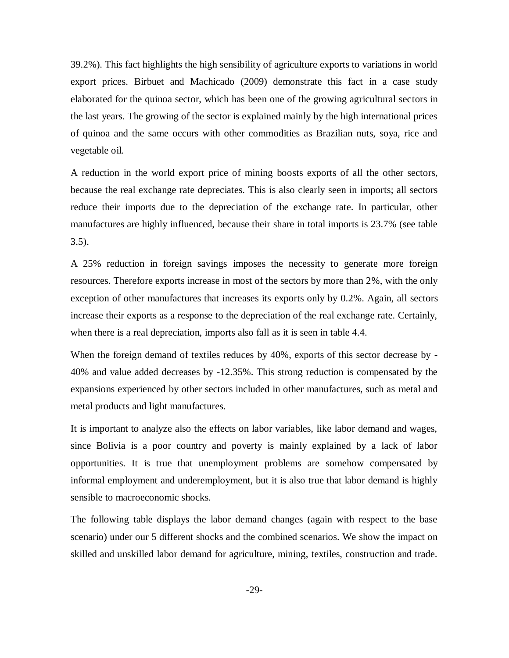39.2%). This fact highlights the high sensibility of agriculture exports to variations in world export prices. Birbuet and Machicado (2009) demonstrate this fact in a case study elaborated for the quinoa sector, which has been one of the growing agricultural sectors in the last years. The growing of the sector is explained mainly by the high international prices of quinoa and the same occurs with other commodities as Brazilian nuts, soya, rice and vegetable oil.

A reduction in the world export price of mining boosts exports of all the other sectors, because the real exchange rate depreciates. This is also clearly seen in imports; all sectors reduce their imports due to the depreciation of the exchange rate. In particular, other manufactures are highly influenced, because their share in total imports is 23.7% (see table 3.5).

A 25% reduction in foreign savings imposes the necessity to generate more foreign resources. Therefore exports increase in most of the sectors by more than 2%, with the only exception of other manufactures that increases its exports only by 0.2%. Again, all sectors increase their exports as a response to the depreciation of the real exchange rate. Certainly, when there is a real depreciation, imports also fall as it is seen in table 4.4.

When the foreign demand of textiles reduces by 40%, exports of this sector decrease by -40% and value added decreases by -12.35%. This strong reduction is compensated by the expansions experienced by other sectors included in other manufactures, such as metal and metal products and light manufactures.

It is important to analyze also the effects on labor variables, like labor demand and wages, since Bolivia is a poor country and poverty is mainly explained by a lack of labor opportunities. It is true that unemployment problems are somehow compensated by informal employment and underemployment, but it is also true that labor demand is highly sensible to macroeconomic shocks.

The following table displays the labor demand changes (again with respect to the base scenario) under our 5 different shocks and the combined scenarios. We show the impact on skilled and unskilled labor demand for agriculture, mining, textiles, construction and trade.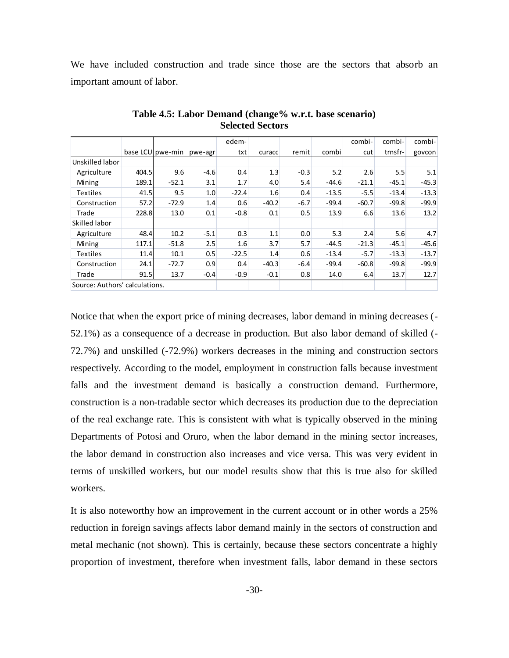We have included construction and trade since those are the sectors that absorb an important amount of labor.

|                                |       |                  |         | edem-   |         |        |         | combi-  | combi-  | combi-  |
|--------------------------------|-------|------------------|---------|---------|---------|--------|---------|---------|---------|---------|
|                                |       | base LCU pwe-min | pwe-agr | txt     | curacc  | remit  | combi   | cut     | trnsfr- | govcon  |
| Unskilled labor                |       |                  |         |         |         |        |         |         |         |         |
| Agriculture                    | 404.5 | 9.6              | $-4.6$  | 0.4     | 1.3     | $-0.3$ | 5.2     | 2.6     | 5.5     | 5.1     |
| Mining                         | 189.1 | $-52.1$          | 3.1     | 1.7     | 4.0     | 5.4    | $-44.6$ | $-21.1$ | $-45.1$ | $-45.3$ |
| <b>Textiles</b>                | 41.5  | 9.5              | 1.0     | $-22.4$ | 1.6     | 0.4    | $-13.5$ | $-5.5$  | $-13.4$ | $-13.3$ |
| Construction                   | 57.2  | $-72.9$          | 1.4     | 0.6     | $-40.2$ | $-6.7$ | $-99.4$ | $-60.7$ | $-99.8$ | $-99.9$ |
| Trade                          | 228.8 | 13.0             | 0.1     | $-0.8$  | 0.1     | 0.5    | 13.9    | 6.6     | 13.6    | 13.2    |
| Skilled labor                  |       |                  |         |         |         |        |         |         |         |         |
| Agriculture                    | 48.4  | 10.2             | $-5.1$  | 0.3     | 1.1     | 0.0    | 5.3     | 2.4     | 5.6     | 4.7     |
| Mining                         | 117.1 | $-51.8$          | 2.5     | 1.6     | 3.7     | 5.7    | $-44.5$ | $-21.3$ | $-45.1$ | $-45.6$ |
| <b>Textiles</b>                | 11.4  | 10.1             | 0.5     | $-22.5$ | 1.4     | 0.6    | $-13.4$ | $-5.7$  | $-13.3$ | $-13.7$ |
| Construction                   | 24.1  | $-72.7$          | 0.9     | 0.4     | $-40.3$ | $-6.4$ | $-99.4$ | $-60.8$ | $-99.8$ | $-99.9$ |
| Trade                          | 91.5  | 13.7             | $-0.4$  | $-0.9$  | $-0.1$  | 0.8    | 14.0    | 6.4     | 13.7    | 12.7    |
| Source: Authors' calculations. |       |                  |         |         |         |        |         |         |         |         |

**Table 4.5: Labor Demand (change% w.r.t. base scenario) Selected Sectors**

Notice that when the export price of mining decreases, labor demand in mining decreases (- 52.1%) as a consequence of a decrease in production. But also labor demand of skilled (- 72.7%) and unskilled (-72.9%) workers decreases in the mining and construction sectors respectively. According to the model, employment in construction falls because investment falls and the investment demand is basically a construction demand. Furthermore, construction is a non-tradable sector which decreases its production due to the depreciation of the real exchange rate. This is consistent with what is typically observed in the mining Departments of Potosi and Oruro, when the labor demand in the mining sector increases, the labor demand in construction also increases and vice versa. This was very evident in terms of unskilled workers, but our model results show that this is true also for skilled workers.

It is also noteworthy how an improvement in the current account or in other words a 25% reduction in foreign savings affects labor demand mainly in the sectors of construction and metal mechanic (not shown). This is certainly, because these sectors concentrate a highly proportion of investment, therefore when investment falls, labor demand in these sectors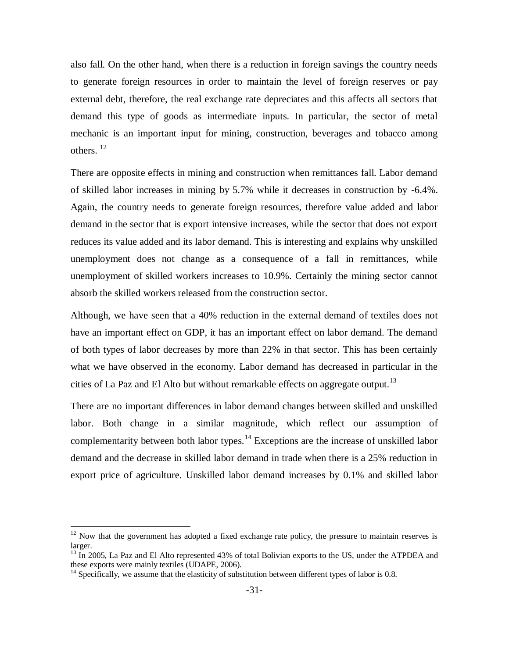also fall. On the other hand, when there is a reduction in foreign savings the country needs to generate foreign resources in order to maintain the level of foreign reserves or pay external debt, therefore, the real exchange rate depreciates and this affects all sectors that demand this type of goods as intermediate inputs. In particular, the sector of metal mechanic is an important input for mining, construction, beverages and tobacco among others. <sup>12</sup>

There are opposite effects in mining and construction when remittances fall. Labor demand of skilled labor increases in mining by 5.7% while it decreases in construction by -6.4%. Again, the country needs to generate foreign resources, therefore value added and labor demand in the sector that is export intensive increases, while the sector that does not export reduces its value added and its labor demand. This is interesting and explains why unskilled unemployment does not change as a consequence of a fall in remittances, while unemployment of skilled workers increases to 10.9%. Certainly the mining sector cannot absorb the skilled workers released from the construction sector.

Although, we have seen that a 40% reduction in the external demand of textiles does not have an important effect on GDP, it has an important effect on labor demand. The demand of both types of labor decreases by more than 22% in that sector. This has been certainly what we have observed in the economy. Labor demand has decreased in particular in the cities of La Paz and El Alto but without remarkable effects on aggregate output.<sup>13</sup>

There are no important differences in labor demand changes between skilled and unskilled labor. Both change in a similar magnitude, which reflect our assumption of complementarity between both labor types. $14$  Exceptions are the increase of unskilled labor demand and the decrease in skilled labor demand in trade when there is a 25% reduction in export price of agriculture. Unskilled labor demand increases by 0.1% and skilled labor

 $\overline{a}$ 

 $12$  Now that the government has adopted a fixed exchange rate policy, the pressure to maintain reserves is larger.

<sup>&</sup>lt;sup>13</sup> In 2005, La Paz and El Alto represented 43% of total Bolivian exports to the US, under the ATPDEA and these exports were mainly textiles (UDAPE, 2006).

 $14$  Specifically, we assume that the elasticity of substitution between different types of labor is 0.8.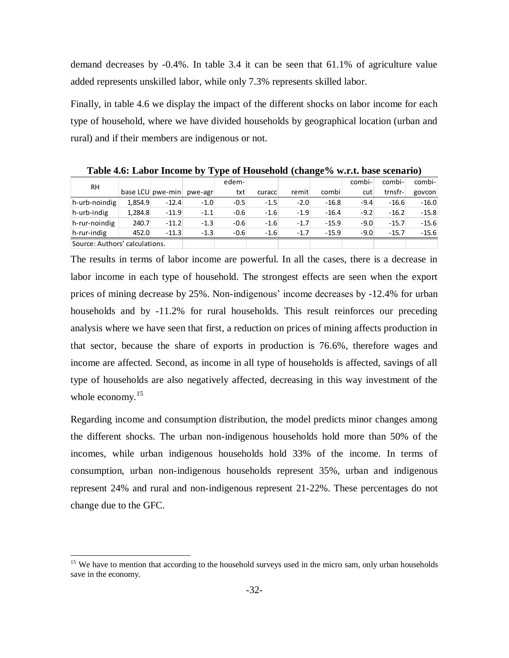demand decreases by -0.4%. In table 3.4 it can be seen that 61.1% of agriculture value added represents unskilled labor, while only 7.3% represents skilled labor.

Finally, in table 4.6 we display the impact of the different shocks on labor income for each type of household, where we have divided households by geographical location (urban and rural) and if their members are indigenous or not.

| RH                             |         |                  |         | edem-  |        |        |         | combi- | combi-  | combi-  |
|--------------------------------|---------|------------------|---------|--------|--------|--------|---------|--------|---------|---------|
|                                |         | base LCU pwe-min | pwe-agr | txt    | curacc | remit  | combi   | cut    | trnsfr- | govcon  |
| $\vert$ h-urb-noindig          | 1.854.9 | $-12.4$          | $-1.0$  | $-0.5$ | $-1.5$ | $-2.0$ | $-16.8$ | $-9.4$ | $-16.6$ | $-16.0$ |
| $h$ -urb-indig                 | 1.284.8 | $-11.9$          | $-1.1$  | $-0.6$ | $-1.6$ | $-1.9$ | $-16.4$ | $-9.2$ | $-16.2$ | $-15.8$ |
| $h$ -rur-noindig               | 240.7   | $-11.2$          | $-1.3$  | $-0.6$ | $-1.6$ | $-1.7$ | $-15.9$ | $-9.0$ | $-15.7$ | $-15.6$ |
| $h$ -rur-indig                 | 452.0   | $-11.3$          | $-1.3$  | $-0.6$ | $-1.6$ | $-1.7$ | $-15.9$ | $-9.0$ | $-15.7$ | $-15.6$ |
| Source: Authors' calculations. |         |                  |         |        |        |        |         |        |         |         |

**Table 4.6: Labor Income by Type of Household (change% w.r.t. base scenario)**

The results in terms of labor income are powerful. In all the cases, there is a decrease in labor income in each type of household. The strongest effects are seen when the export prices of mining decrease by 25%. Non-indigenous' income decreases by -12.4% for urban households and by -11.2% for rural households. This result reinforces our preceding analysis where we have seen that first, a reduction on prices of mining affects production in that sector, because the share of exports in production is 76.6%, therefore wages and income are affected. Second, as income in all type of households is affected, savings of all type of households are also negatively affected, decreasing in this way investment of the whole economy. $15$ 

Regarding income and consumption distribution, the model predicts minor changes among the different shocks. The urban non-indigenous households hold more than 50% of the incomes, while urban indigenous households hold 33% of the income. In terms of consumption, urban non-indigenous households represent 35%, urban and indigenous represent 24% and rural and non-indigenous represent 21-22%. These percentages do not change due to the GFC.

 $\overline{a}$ 

<sup>&</sup>lt;sup>15</sup> We have to mention that according to the household surveys used in the micro sam, only urban households save in the economy.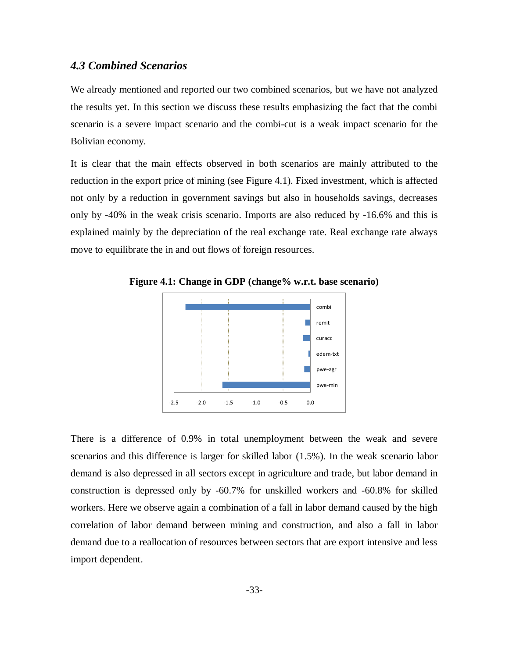### *4.3 Combined Scenarios*

We already mentioned and reported our two combined scenarios, but we have not analyzed the results yet. In this section we discuss these results emphasizing the fact that the combi scenario is a severe impact scenario and the combi-cut is a weak impact scenario for the Bolivian economy.

It is clear that the main effects observed in both scenarios are mainly attributed to the reduction in the export price of mining (see Figure 4.1). Fixed investment, which is affected not only by a reduction in government savings but also in households savings, decreases only by -40% in the weak crisis scenario. Imports are also reduced by -16.6% and this is explained mainly by the depreciation of the real exchange rate. Real exchange rate always move to equilibrate the in and out flows of foreign resources.



**Figure 4.1: Change in GDP (change% w.r.t. base scenario)**

There is a difference of 0.9% in total unemployment between the weak and severe scenarios and this difference is larger for skilled labor (1.5%). In the weak scenario labor demand is also depressed in all sectors except in agriculture and trade, but labor demand in construction is depressed only by -60.7% for unskilled workers and -60.8% for skilled workers. Here we observe again a combination of a fall in labor demand caused by the high correlation of labor demand between mining and construction, and also a fall in labor demand due to a reallocation of resources between sectors that are export intensive and less import dependent.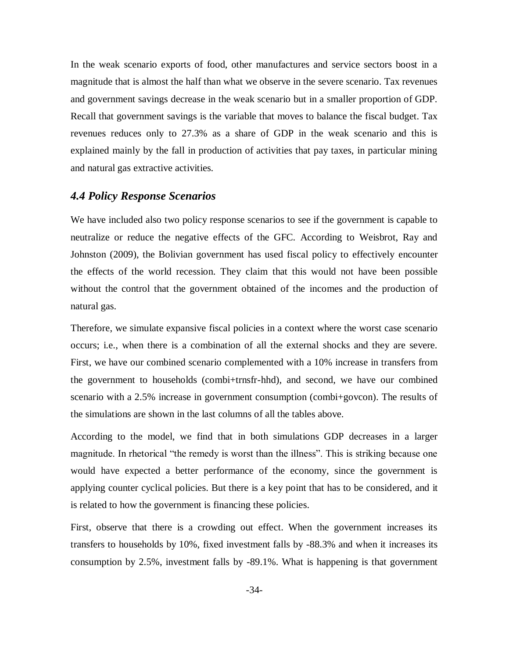In the weak scenario exports of food, other manufactures and service sectors boost in a magnitude that is almost the half than what we observe in the severe scenario. Tax revenues and government savings decrease in the weak scenario but in a smaller proportion of GDP. Recall that government savings is the variable that moves to balance the fiscal budget. Tax revenues reduces only to 27.3% as a share of GDP in the weak scenario and this is explained mainly by the fall in production of activities that pay taxes, in particular mining and natural gas extractive activities.

### *4.4 Policy Response Scenarios*

We have included also two policy response scenarios to see if the government is capable to neutralize or reduce the negative effects of the GFC. According to Weisbrot, Ray and Johnston (2009), the Bolivian government has used fiscal policy to effectively encounter the effects of the world recession. They claim that this would not have been possible without the control that the government obtained of the incomes and the production of natural gas.

Therefore, we simulate expansive fiscal policies in a context where the worst case scenario occurs; i.e., when there is a combination of all the external shocks and they are severe. First, we have our combined scenario complemented with a 10% increase in transfers from the government to households (combi+trnsfr-hhd), and second, we have our combined scenario with a 2.5% increase in government consumption (combi+govcon). The results of the simulations are shown in the last columns of all the tables above.

According to the model, we find that in both simulations GDP decreases in a larger magnitude. In rhetorical "the remedy is worst than the illness". This is striking because one would have expected a better performance of the economy, since the government is applying counter cyclical policies. But there is a key point that has to be considered, and it is related to how the government is financing these policies.

First, observe that there is a crowding out effect. When the government increases its transfers to households by 10%, fixed investment falls by -88.3% and when it increases its consumption by 2.5%, investment falls by -89.1%. What is happening is that government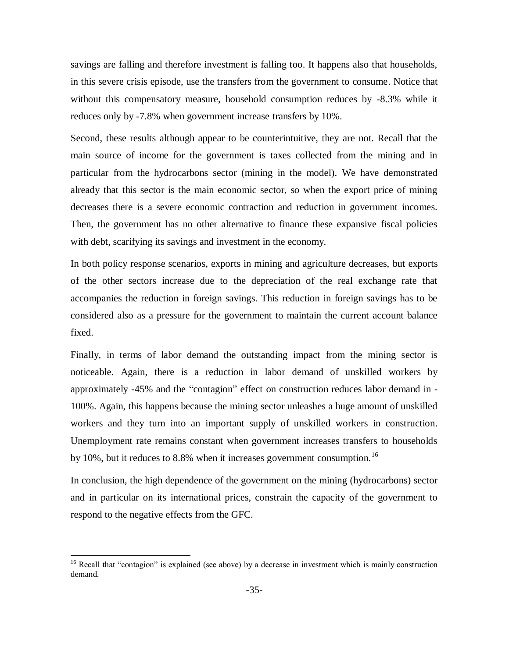savings are falling and therefore investment is falling too. It happens also that households, in this severe crisis episode, use the transfers from the government to consume. Notice that without this compensatory measure, household consumption reduces by -8.3% while it reduces only by -7.8% when government increase transfers by 10%.

Second, these results although appear to be counterintuitive, they are not. Recall that the main source of income for the government is taxes collected from the mining and in particular from the hydrocarbons sector (mining in the model). We have demonstrated already that this sector is the main economic sector, so when the export price of mining decreases there is a severe economic contraction and reduction in government incomes. Then, the government has no other alternative to finance these expansive fiscal policies with debt, scarifying its savings and investment in the economy.

In both policy response scenarios, exports in mining and agriculture decreases, but exports of the other sectors increase due to the depreciation of the real exchange rate that accompanies the reduction in foreign savings. This reduction in foreign savings has to be considered also as a pressure for the government to maintain the current account balance fixed.

Finally, in terms of labor demand the outstanding impact from the mining sector is noticeable. Again, there is a reduction in labor demand of unskilled workers by approximately -45% and the "contagion" effect on construction reduces labor demand in -100%. Again, this happens because the mining sector unleashes a huge amount of unskilled workers and they turn into an important supply of unskilled workers in construction. Unemployment rate remains constant when government increases transfers to households by 10%, but it reduces to 8.8% when it increases government consumption.<sup>16</sup>

In conclusion, the high dependence of the government on the mining (hydrocarbons) sector and in particular on its international prices, constrain the capacity of the government to respond to the negative effects from the GFC.

 $\overline{a}$ 

<sup>&</sup>lt;sup>16</sup> Recall that "contagion" is explained (see above) by a decrease in investment which is mainly construction demand.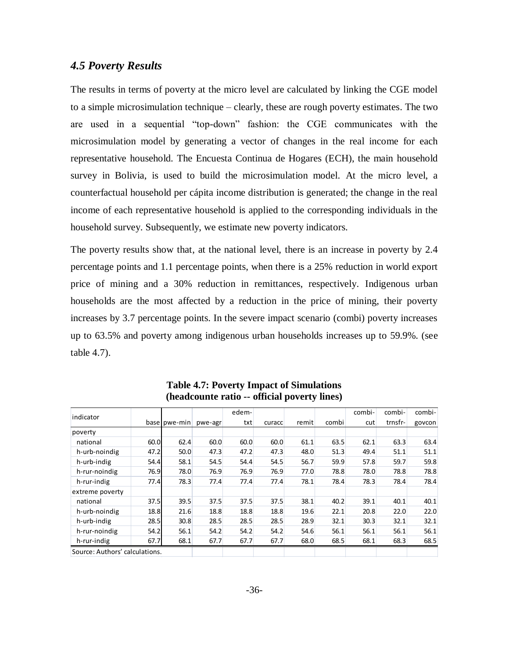### *4.5 Poverty Results*

The results in terms of poverty at the micro level are calculated by linking the CGE model to a simple microsimulation technique – clearly, these are rough poverty estimates. The two are used in a sequential "top-down" fashion: the CGE communicates with the microsimulation model by generating a vector of changes in the real income for each representative household. The Encuesta Continua de Hogares (ECH), the main household survey in Bolivia, is used to build the microsimulation model. At the micro level, a counterfactual household per cápita income distribution is generated; the change in the real income of each representative household is applied to the corresponding individuals in the household survey. Subsequently, we estimate new poverty indicators.

The poverty results show that, at the national level, there is an increase in poverty by 2.4 percentage points and 1.1 percentage points, when there is a 25% reduction in world export price of mining and a 30% reduction in remittances, respectively. Indigenous urban households are the most affected by a reduction in the price of mining, their poverty increases by 3.7 percentage points. In the severe impact scenario (combi) poverty increases up to 63.5% and poverty among indigenous urban households increases up to 59.9%. (see table 4.7).

|                                |      |                |         | edem- |        |       |       | combi- | combi-  | combi- |
|--------------------------------|------|----------------|---------|-------|--------|-------|-------|--------|---------|--------|
| indicator                      |      | base   pwe-min | pwe-agr | txt   | curacc | remit | combi | cut    | trnsfr- | govcon |
| poverty                        |      |                |         |       |        |       |       |        |         |        |
| national                       | 60.0 | 62.4           | 60.0    | 60.0  | 60.0   | 61.1  | 63.5  | 62.1   | 63.3    | 63.4   |
| h-urb-noindig                  | 47.2 | 50.0           | 47.3    | 47.2  | 47.3   | 48.0  | 51.3  | 49.4   | 51.1    | 51.1   |
| h-urb-indig                    | 54.4 | 58.1           | 54.5    | 54.4  | 54.5   | 56.7  | 59.9  | 57.8   | 59.7    | 59.8   |
| h-rur-noindig                  | 76.9 | 78.0           | 76.9    | 76.9  | 76.9   | 77.0  | 78.8  | 78.0   | 78.8    | 78.8   |
| h-rur-indig                    | 77.4 | 78.3           | 77.4    | 77.4  | 77.4   | 78.1  | 78.4  | 78.3   | 78.4    | 78.4   |
| extreme poverty                |      |                |         |       |        |       |       |        |         |        |
| national                       | 37.5 | 39.5           | 37.5    | 37.5  | 37.5   | 38.1  | 40.2  | 39.1   | 40.1    | 40.1   |
| h-urb-noindig                  | 18.8 | 21.6           | 18.8    | 18.8  | 18.8   | 19.6  | 22.1  | 20.8   | 22.0    | 22.0   |
| h-urb-indig                    | 28.5 | 30.8           | 28.5    | 28.5  | 28.5   | 28.9  | 32.1  | 30.3   | 32.1    | 32.1   |
| h-rur-noindig                  | 54.2 | 56.1           | 54.2    | 54.2  | 54.2   | 54.6  | 56.1  | 56.1   | 56.1    | 56.1   |
| h-rur-indig                    | 67.7 | 68.1           | 67.7    | 67.7  | 67.7   | 68.0  | 68.5  | 68.1   | 68.3    | 68.5   |
| Source: Authors' calculations. |      |                |         |       |        |       |       |        |         |        |

**Table 4.7: Poverty Impact of Simulations (headcounte ratio -- official poverty lines)**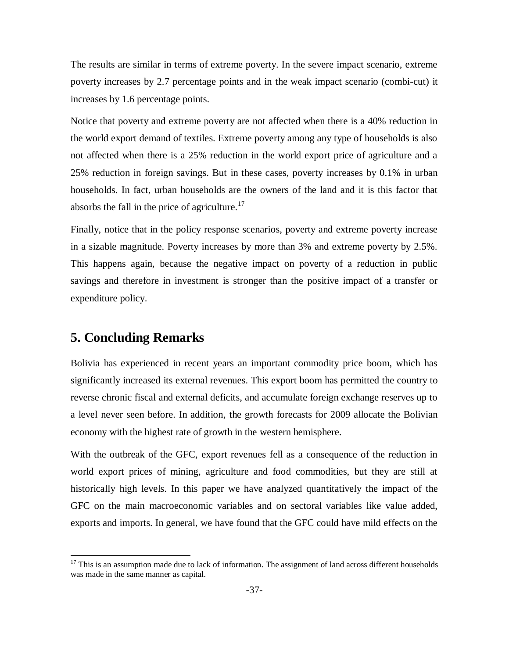The results are similar in terms of extreme poverty. In the severe impact scenario, extreme poverty increases by 2.7 percentage points and in the weak impact scenario (combi-cut) it increases by 1.6 percentage points.

Notice that poverty and extreme poverty are not affected when there is a 40% reduction in the world export demand of textiles. Extreme poverty among any type of households is also not affected when there is a 25% reduction in the world export price of agriculture and a 25% reduction in foreign savings. But in these cases, poverty increases by 0.1% in urban households. In fact, urban households are the owners of the land and it is this factor that absorbs the fall in the price of agriculture.<sup>17</sup>

Finally, notice that in the policy response scenarios, poverty and extreme poverty increase in a sizable magnitude. Poverty increases by more than 3% and extreme poverty by 2.5%. This happens again, because the negative impact on poverty of a reduction in public savings and therefore in investment is stronger than the positive impact of a transfer or expenditure policy.

# **5. Concluding Remarks**

 $\overline{a}$ 

Bolivia has experienced in recent years an important commodity price boom, which has significantly increased its external revenues. This export boom has permitted the country to reverse chronic fiscal and external deficits, and accumulate foreign exchange reserves up to a level never seen before. In addition, the growth forecasts for 2009 allocate the Bolivian economy with the highest rate of growth in the western hemisphere.

With the outbreak of the GFC, export revenues fell as a consequence of the reduction in world export prices of mining, agriculture and food commodities, but they are still at historically high levels. In this paper we have analyzed quantitatively the impact of the GFC on the main macroeconomic variables and on sectoral variables like value added, exports and imports. In general, we have found that the GFC could have mild effects on the

<sup>&</sup>lt;sup>17</sup> This is an assumption made due to lack of information. The assignment of land across different households was made in the same manner as capital.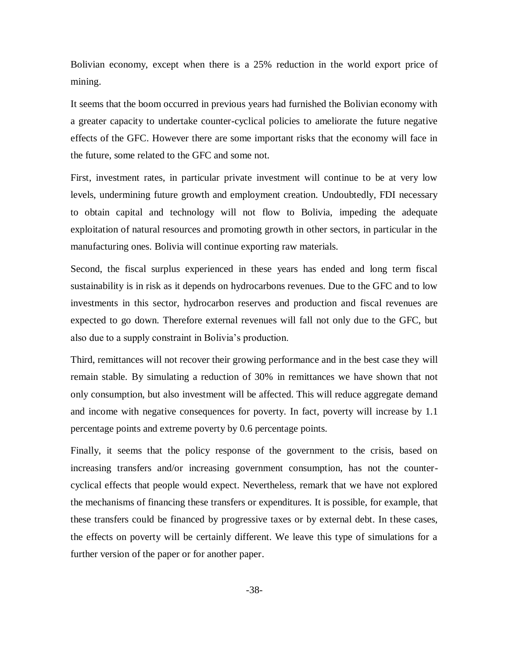Bolivian economy, except when there is a 25% reduction in the world export price of mining.

It seems that the boom occurred in previous years had furnished the Bolivian economy with a greater capacity to undertake counter-cyclical policies to ameliorate the future negative effects of the GFC. However there are some important risks that the economy will face in the future, some related to the GFC and some not.

First, investment rates, in particular private investment will continue to be at very low levels, undermining future growth and employment creation. Undoubtedly, FDI necessary to obtain capital and technology will not flow to Bolivia, impeding the adequate exploitation of natural resources and promoting growth in other sectors, in particular in the manufacturing ones. Bolivia will continue exporting raw materials.

Second, the fiscal surplus experienced in these years has ended and long term fiscal sustainability is in risk as it depends on hydrocarbons revenues. Due to the GFC and to low investments in this sector, hydrocarbon reserves and production and fiscal revenues are expected to go down. Therefore external revenues will fall not only due to the GFC, but also due to a supply constraint in Bolivia's production.

Third, remittances will not recover their growing performance and in the best case they will remain stable. By simulating a reduction of 30% in remittances we have shown that not only consumption, but also investment will be affected. This will reduce aggregate demand and income with negative consequences for poverty. In fact, poverty will increase by 1.1 percentage points and extreme poverty by 0.6 percentage points.

Finally, it seems that the policy response of the government to the crisis, based on increasing transfers and/or increasing government consumption, has not the countercyclical effects that people would expect. Nevertheless, remark that we have not explored the mechanisms of financing these transfers or expenditures. It is possible, for example, that these transfers could be financed by progressive taxes or by external debt. In these cases, the effects on poverty will be certainly different. We leave this type of simulations for a further version of the paper or for another paper.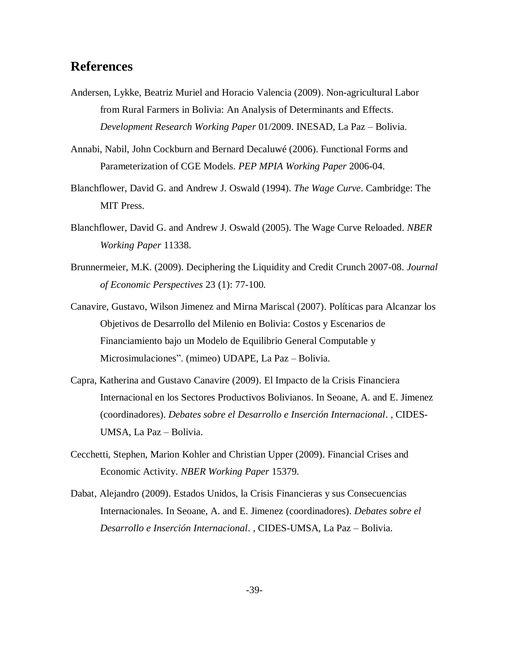# **References**

- Andersen, Lykke, Beatriz Muriel and Horacio Valencia (2009). Non-agricultural Labor from Rural Farmers in Bolivia: An Analysis of Determinants and Effects. *Development Research Working Paper* 01/2009. INESAD, La Paz – Bolivia.
- Annabi, Nabil, John Cockburn and Bernard Decaluwé (2006). Functional Forms and Parameterization of CGE Models. *PEP MPIA Working Paper* 2006-04.
- Blanchflower, David G. and Andrew J. Oswald (1994). *The Wage Curve*. Cambridge: The MIT Press.
- Blanchflower, David G. and Andrew J. Oswald (2005). The Wage Curve Reloaded. *NBER Working Paper* 11338.
- Brunnermeier, M.K. (2009). Deciphering the Liquidity and Credit Crunch 2007-08. *Journal of Economic Perspectives* 23 (1): 77-100.
- Canavire, Gustavo, Wilson Jimenez and Mirna Mariscal (2007). Políticas para Alcanzar los Objetivos de Desarrollo del Milenio en Bolivia: Costos y Escenarios de Financiamiento bajo un Modelo de Equilibrio General Computable y Microsimulaciones". (mimeo) UDAPE, La Paz – Bolivia.
- Capra, Katherina and Gustavo Canavire (2009). El Impacto de la Crisis Financiera Internacional en los Sectores Productivos Bolivianos. In Seoane, A. and E. Jimenez (coordinadores). *Debates sobre el Desarrollo e Inserción Internacional*. , CIDES-UMSA, La Paz – Bolivia.
- Cecchetti, Stephen, Marion Kohler and Christian Upper (2009). Financial Crises and Economic Activity. *NBER Working Paper* 15379.
- Dabat, Alejandro (2009). Estados Unidos, la Crisis Financieras y sus Consecuencias Internacionales. In Seoane, A. and E. Jimenez (coordinadores). *Debates sobre el Desarrollo e Inserción Internacional*. , CIDES-UMSA, La Paz – Bolivia.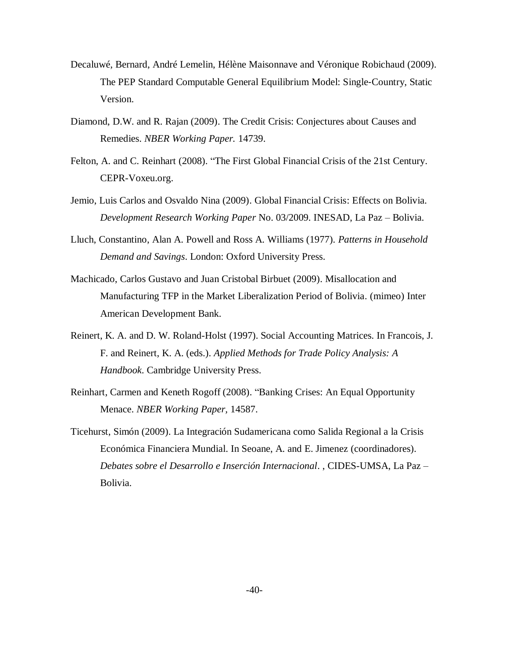- Decaluwé, Bernard, André Lemelin, Hélène Maisonnave and Véronique Robichaud (2009). The PEP Standard Computable General Equilibrium Model: Single‐Country, Static Version.
- Diamond, D.W. and R. Rajan (2009). The Credit Crisis: Conjectures about Causes and Remedies. *NBER Working Paper.* 14739.
- Felton, A. and C. Reinhart (2008). "The First Global Financial Crisis of the 21st Century. CEPR-Voxeu.org.
- Jemio, Luis Carlos and Osvaldo Nina (2009). Global Financial Crisis: Effects on Bolivia. *Development Research Working Paper* No. 03/2009. INESAD, La Paz – Bolivia.
- Lluch, Constantino, Alan A. Powell and Ross A. Williams (1977). *Patterns in Household Demand and Savings*. London: Oxford University Press.
- Machicado, Carlos Gustavo and Juan Cristobal Birbuet (2009). Misallocation and Manufacturing TFP in the Market Liberalization Period of Bolivia. (mimeo) Inter American Development Bank.
- Reinert, K. A. and D. W. Roland-Holst (1997). Social Accounting Matrices. In Francois, J. F. and Reinert, K. A. (eds.). *Applied Methods for Trade Policy Analysis: A Handbook*. Cambridge University Press.
- Reinhart, Carmen and Keneth Rogoff (2008). "Banking Crises: An Equal Opportunity Menace. *NBER Working Paper,* 14587.
- Ticehurst, Simón (2009). La Integración Sudamericana como Salida Regional a la Crisis Económica Financiera Mundial. In Seoane, A. and E. Jimenez (coordinadores). *Debates sobre el Desarrollo e Inserción Internacional*. , CIDES-UMSA, La Paz – Bolivia.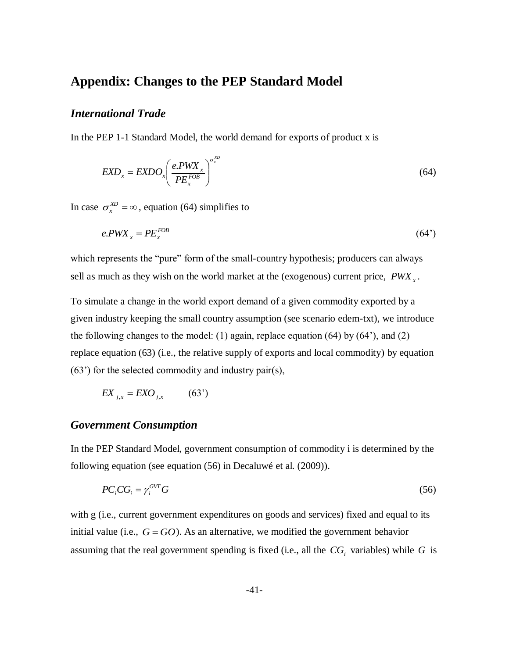# **Appendix: Changes to the PEP Standard Model**

### *International Trade*

In the PEP 1-1 Standard Model, the world demand for exports of product x is

$$
EXP_{x} = EXDO_{x} \left(\frac{e.PWX_{x}}{PE_{x}^{FOB}}\right)^{\sigma_{x}^{XD}}
$$
\n(64)

In case  $\sigma_x^{XD} = \infty$ , equation (64) simplifies to

$$
e.PWX_x = PE_x^{FOB} \tag{64'}
$$

which represents the "pure" form of the small-country hypothesis; producers can always sell as much as they wish on the world market at the (exogenous) current price,  $PWX<sub>x</sub>$ .

To simulate a change in the world export demand of a given commodity exported by a given industry keeping the small country assumption (see scenario edem-txt), we introduce the following changes to the model: (1) again, replace equation  $(64)$  by  $(64')$ , and  $(2)$ replace equation (63) (i.e., the relative supply of exports and local commodity) by equation (63') for the selected commodity and industry pair(s),

$$
EX_{j,x} = EXO_{j,x} \qquad (63')
$$

### *Government Consumption*

In the PEP Standard Model, government consumption of commodity i is determined by the following equation (see equation (56) in Decaluwé et al. (2009)).

$$
PC_i CG_i = \gamma_i^{GVT} G \tag{56}
$$

with g (i.e., current government expenditures on goods and services) fixed and equal to its initial value (i.e.,  $G = GO$ ). As an alternative, we modified the government behavior assuming that the real government spending is fixed (i.e., all the  $CG<sub>i</sub>$  variables) while G is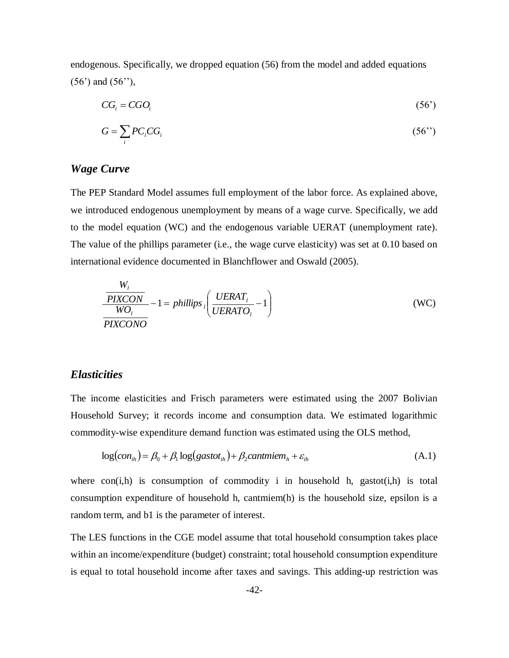endogenous. Specifically, we dropped equation (56) from the model and added equations (56') and (56''),

$$
CG_i = CGO_i \tag{56'}
$$

$$
G = \sum_{i} PC_i CG_i \tag{56'}
$$

# *Wage Curve*

The PEP Standard Model assumes full employment of the labor force. As explained above, we introduced endogenous unemployment by means of a wage curve. Specifically, we add to the model equation (WC) and the endogenous variable UERAT (unemployment rate). The value of the phillips parameter (i.e., the wage curve elasticity) was set at 0.10 based on international evidence documented in Blanchflower and Oswald (2005).

$$
\frac{W_l}{\text{PIXCON}} - 1 = \text{philips}\left(\frac{\text{UERAT}_l}{\text{UERATO}_l} - 1\right) \tag{WC}
$$
\n
$$
\frac{WO_l}{\text{PIXCONO}}
$$

### *Elasticities*

The income elasticities and Frisch parameters were estimated using the 2007 Bolivian Household Survey; it records income and consumption data. We estimated logarithmic commodity-wise expenditure demand function was estimated using the OLS method,

$$
log(conih) = \beta_0 + \beta_1 log(gastotih) + \beta_2 cantmiemh + \varepsilonih
$$
 (A.1)

where  $con(i,h)$  is consumption of commodity i in household h, gastot $(i,h)$  is total consumption expenditure of household h, cantmiem(h) is the household size, epsilon is a random term, and b1 is the parameter of interest.

The LES functions in the CGE model assume that total household consumption takes place within an income/expenditure (budget) constraint; total household consumption expenditure is equal to total household income after taxes and savings. This adding-up restriction was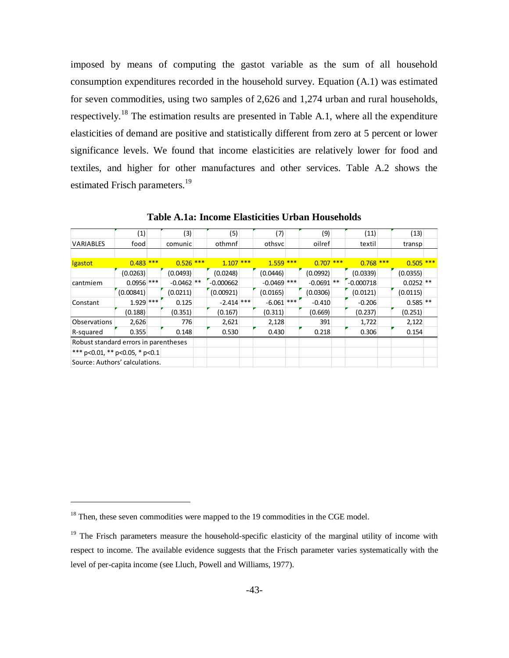imposed by means of computing the gastot variable as the sum of all household consumption expenditures recorded in the household survey. Equation (A.1) was estimated for seven commodities, using two samples of 2,626 and 1,274 urban and rural households, respectively.<sup>18</sup> The estimation results are presented in Table A.1, where all the expenditure elasticities of demand are positive and statistically different from zero at 5 percent or lower significance levels. We found that income elasticities are relatively lower for food and textiles, and higher for other manufactures and other services. Table A.2 shows the estimated Frisch parameters.<sup>19</sup>

|                                       | (1)          | (3)          | (5)          | (7)           |     | (9)          | (11)        | (13)        |  |
|---------------------------------------|--------------|--------------|--------------|---------------|-----|--------------|-------------|-------------|--|
| <b>VARIABLES</b>                      | food         | comunic      | othmnf       | othsyc        |     | oilref       | textil      | transp      |  |
|                                       |              |              |              |               |     |              |             |             |  |
| Igastot                               | $0.483$ ***  | $0.526$ ***  | $1.107$ ***  | 1.559         | *** | $0.707$ ***  | $0.768$ *** | $0.505$ *** |  |
|                                       | (0.0263)     | (0.0493)     | (0.0248)     | (0.0446)      |     | (0.0992)     | (0.0339)    | (0.0355)    |  |
| cantmiem                              | $0.0956$ *** | $-0.0462$ ** | $-0.000662$  | $-0.0469$ *** |     | $-0.0691$ ** | $-0.000718$ | $0.0252$ ** |  |
|                                       | (0.00841)    | (0.0211)     | (0.00921)    | (0.0165)      |     | (0.0306)     | (0.0121)    | (0.0115)    |  |
| Constant                              | $1.929$ ***  | 0.125        | $-2.414$ *** | $-6.061$ ***  |     | $-0.410$     | $-0.206$    | $0.585$ **  |  |
|                                       | (0.188)      | (0.351)      | (0.167)      | (0.311)       |     | (0.669)      | (0.237)     | (0.251)     |  |
| Observations                          | 2,626        | 776          | 2,621        | 2,128         |     | 391          | 1,722       | 2,122       |  |
| R-squared                             | 0.355        | 0.148        | 0.530        | 0.430         |     | 0.218        | 0.306       | 0.154       |  |
| Robust standard errors in parentheses |              |              |              |               |     |              |             |             |  |
| *** p<0.01, ** p<0.05, * p<0.1        |              |              |              |               |     |              |             |             |  |
| Source: Authors' calculations.        |              |              |              |               |     |              |             |             |  |

**Table A.1a: Income Elasticities Urban Households**

 $\overline{a}$ 

<sup>&</sup>lt;sup>18</sup> Then, these seven commodities were mapped to the 19 commodities in the CGE model.

<sup>&</sup>lt;sup>19</sup> The Frisch parameters measure the household-specific elasticity of the marginal utility of income with respect to income. The available evidence suggests that the Frisch parameter varies systematically with the level of per-capita income (see Lluch, Powell and Williams, 1977).